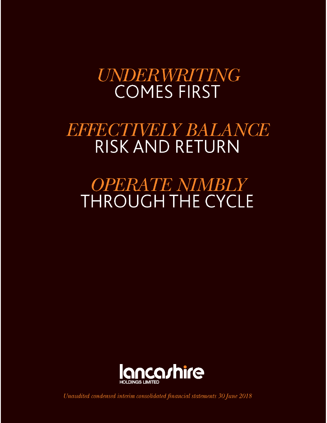# **UNDERWRITING COMES FIRST**

# **BBBBCTHVBIEY BALANCE RISK AND RETURN**

# *OPERATE NIMBLY* **THROUGH THE CYCLE**



Unaudited condensed interim consolidated financial statements 30 June 2018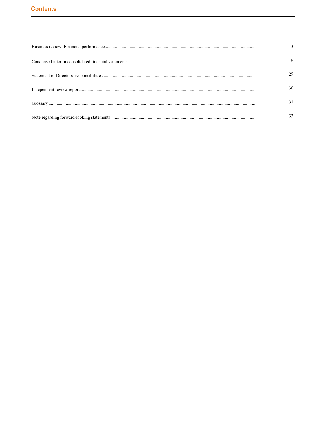# **Contents**

| 30. |
|-----|
| 31  |
|     |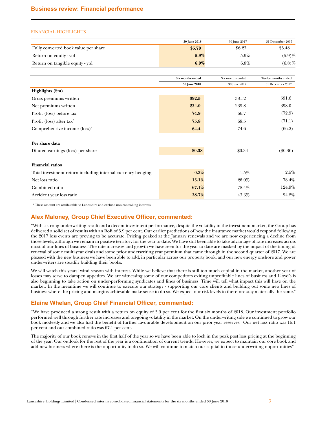## <span id="page-2-0"></span>FINANCIAL HIGHLIGHTS

|                                      | 30 June 2018 | 30 June 2017 | 31 December 2017 |
|--------------------------------------|--------------|--------------|------------------|
| Fully converted book value per share | \$5.70       | \$6.23       | \$5.48           |
| Return on equity - ytd               | $5.9\%$      | $5.9\%$      | $(5.9)$ %        |
| Return on tangible equity - ytd      | $6.9\%$      | $6.8\%$      | (6.8)%           |

|                                                             | Six months ended | Six months ended | Twelve months ended |
|-------------------------------------------------------------|------------------|------------------|---------------------|
|                                                             | 30 June 2018     | 30 June 2017     | 31 December 2017    |
| Highlights (\$m)                                            |                  |                  |                     |
| Gross premiums written                                      | 392.5            | 381.2            | 591.6               |
| Net premiums written                                        | 234.0            | 239.8            | 398.0               |
| Profit (loss) before tax                                    | 74.9             | 66.7             | (72.9)              |
| Profit (loss) after tax <sup>*</sup>                        | 75.8             | 68.5             | (71.1)              |
| Comprehensive income (loss) <sup>*</sup>                    | 64.4             | 74.6             | (66.2)              |
|                                                             |                  |                  |                     |
| Per share data                                              |                  |                  |                     |
| Diluted earnings (loss) per share                           | \$0.38           | \$0.34           | $(\$0.36)$          |
|                                                             |                  |                  |                     |
| <b>Financial ratios</b>                                     |                  |                  |                     |
| Total investment return including internal currency hedging | 0.3%             | $1.5\%$          | 2.5%                |
| Net loss ratio                                              | 15.1%            | 26.0%            | 78.4%               |
| Combined ratio                                              | 67.1%            | 78.4%            | 124.9%              |
| Accident year loss ratio                                    | 38.7%            | 43.3%            | 94.2%               |

\* These amount are attributable to Lancashire and exclude non-controlling interests.

# **Alex Maloney, Group Chief Executive Officer, commented:**

"With a strong underwriting result and a decent investment performance, despite the volatility in the investment market, the Group has delivered a solid set of results with an RoE of 5.9 per cent. Our earlier predictions of how the insurance market would respond following the 2017 loss events are proving to be accurate. Pricing peaked at the January renewals and we are now experiencing a decline from those levels, although we remain in positive territory for the year to date. We have still been able to take advantage of rate increases across most of our lines of business. The rate increases and growth we have seen for the year to date are masked by the impact of the timing of renewal of some multi-year deals and some prior underwriting year premium that came through in the second quarter of 2017. We are pleased with the new business we have been able to add, in particular across our property book, and our new energy onshore and power underwriters are steadily building their books.

We will watch this years' wind season with interest. While we believe that there is still too much capital in the market, another year of losses may serve to dampen appetites. We are witnessing some of our competitors exiting unprofitable lines of business and Lloyd's is also beginning to take action on under-performing syndicates and lines of business. Time will tell what impact this will have on the market. In the meantime we will continue to execute our strategy - supporting our core clients and building out some new lines of business where the pricing and margins achievable make sense to do so. We expect our risk levels to therefore stay materially the same."

# **Elaine Whelan, Group Chief Financial Officer, commented:**

"We have produced a strong result with a return on equity of 5.9 per cent for the first six months of 2018. Our investment portfolio performed well through further rate increases and on-going volatility in the market. On the underwriting side we continued to grow our book modestly and we also had the benefit of further favourable development on our prior year reserves. Our net loss ratio was 15.1 per cent and our combined ratio was 67.1 per cent.

The majority of our book renews in the first half of the year so we have been able to lock in the peak post loss pricing at the beginning of the year. Our outlook for the rest of the year is a continuation of current trends. However, we expect to maintain our core book and add new business where there is the opportunity to do so. We will continue to match our capital to those underwriting opportunities"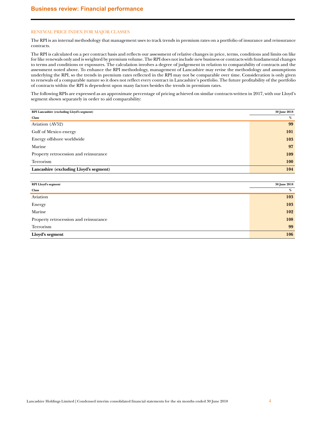## RENEWAL PRICE INDEX FOR MAJOR CLASSES

The RPI is an internal methodology that management uses to track trends in premium rates on a portfolio of insurance and reinsurance contracts.

The RPI is calculated on a per contract basis and reflects our assessment of relative changes in price, terms, conditions and limits on like for like renewals only and is weighted by premium volume. The RPI does not include new business or contracts with fundamental changes to terms and conditions or exposures. The calculation involves a degree of judgement in relation to comparability of contracts and the assessment noted above. To enhance the RPI methodology, management of Lancashire may revise the methodology and assumptions underlying the RPI, so the trends in premium rates reflected in the RPI may not be comparable over time. Consideration is only given to renewals of a comparable nature so it does not reflect every contract in Lancashire's portfolio. The future profitability of the portfolio of contracts within the RPI is dependent upon many factors besides the trends in premium rates.

The following RPIs are expressed as an approximate percentage of pricing achieved on similar contracts written in 2017, with our Lloyd's segment shown separately in order to aid comparability:

| RPI Lancashire (excluding Lloyd's segment) | 30 June 2018 |
|--------------------------------------------|--------------|
| <b>Class</b>                               | %            |
| Aviation (AV52)                            | 99           |
| Gulf of Mexico energy                      | 101          |
| Energy offshore worldwide                  | 103          |
| Marine                                     | 97           |
| Property retrocession and reinsurance      | 109          |
| Terrorism                                  | 100          |
| Lancashire (excluding Lloyd's segment)     | 104          |

| <b>RPI Lloyd's segment</b>            | 30 June 2018 |
|---------------------------------------|--------------|
| <b>Class</b>                          | %            |
| Aviation                              | 103          |
| Energy                                | 103          |
| Marine                                | 102          |
| Property retrocession and reinsurance | 108          |
| Terrorism                             | 99           |
| Lloyd's segment                       | 106          |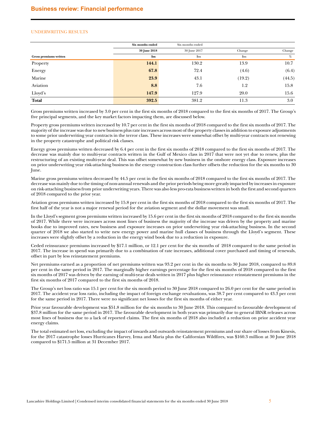## UNDERWRITING RESULTS

|                        | Six months ended | Six months ended |        |        |
|------------------------|------------------|------------------|--------|--------|
|                        | 30 June 2018     | 30 June 2017     | Change | Change |
| Gross premiums written | \$m\$            | $\mathbf{Sm}$    | \$m    | %      |
| Property               | 144.1            | 130.2            | 13.9   | 10.7   |
| Energy                 | 67.8             | 72.4             | (4.6)  | (6.4)  |
| Marine                 | 23.9             | 43.1             | (19.2) | (44.5) |
| Aviation               | 8.8              | 7.6              | 1.2    | 15.8   |
| Lloyd's                | 147.9            | 127.9            | 20.0   | 15.6   |
| <b>Total</b>           | 392.5            | 381.2            | 11.3   | 3.0    |

Gross premiums written increased by 3.0 per cent in the first six months of 2018 compared to the first six months of 2017. The Group's five principal segments, and the key market factors impacting them, are discussed below.

Property gross premiums written increased by 10.7 per cent in the first six months of 2018 compared to the first six months of 2017. The majority of the increase was due to new business plus rate increases across most of the property classes in addition to exposure adjustments to some prior underwriting year contracts in the terror class. These increases were somewhat offset by multi-year contracts not renewing in the property catastrophe and political risk classes.

Energy gross premiums written decreased by 6.4 per cent in the first six months of 2018 compared to the first six months of 2017. The decrease was mainly due to multi-year contracts written in the Gulf of Mexico class in 2017 that were not yet due to renew, plus the restructuring of an existing multi-year deal. This was offset somewhat by new business in the onshore energy class. Exposure increases on prior underwriting year risk-attaching business in the energy construction class further offsets the reduction for the six months to 30 June.

Marine gross premiums written decreased by 44.5 per cent in the first six months of 2018 compared to the first six months of 2017. The decrease was mainly due to the timing of non-annual renewals and the prior periods being more greatly impacted by increases in exposure on risk-attaching business from prior underwriting years. There was also less pro-rata business written in both the first and second quarters of 2018 compared to the prior year.

Aviation gross premiums written increased by 15.8 per cent in the first six months of 2018 compared to the first six months of 2017. The first half of the year is not a major renewal period for the aviation segment and the dollar movement was small.

In the Lloyd's segment gross premiums written increased by 15.6 per cent in the first six months of 2018 compared to the first six months of 2017. While there were increases across most lines of business the majority of the increase was driven by the property and marine books due to improved rates, new business and exposure increases on prior underwriting year risk-attaching business. In the second quarter of 2018 we also started to write new energy power and marine hull classes of business through the Lloyd's segment. These increases were slightly offset by a reduction in the energy wind book due to a reduction in exposure.

Ceded reinsurance premiums increased by \$17.1 million, or 12.1 per cent for the six months of 2018 compared to the same period in 2017. The increase in spend was primarily due to a combination of rate increases, additional cover purchased and timing of renewals, offset in part by less reinstatement premiums.

Net premiums earned as a proportion of net premiums written was 93.2 per cent in the six months to 30 June 2018, compared to 89.8 per cent in the same period in 2017. The marginally higher earnings percentage for the first six months of 2018 compared to the first six months of 2017 was driven by the earning of multi-year deals written in 2017 plus higher reinsurance reinstatement premiums in the first six months of 2017 compared to the first six months of 2018.

The Group's net loss ratio was 15.1 per cent for the six month period to 30 June 2018 compared to 26.0 per cent for the same period in 2017. The accident year loss ratio, including the impact of foreign exchange revaluations, was 38.7 per cent compared to 43.3 per cent for the same period in 2017. There were no significant net losses for the first six months of either year.

Prior year favourable development was \$51.8 million for the six months to 30 June 2018. This compared to favourable development of \$37.8 million for the same period in 2017. The favourable development in both years was primarily due to general IBNR releases across most lines of business due to a lack of reported claims. The first six months of 2018 also included a reduction on prior accident year energy claims.

The total estimated net loss, excluding the impact of inwards and outwards reinstatement premiums and our share of losses from Kinesis, for the 2017 catastrophe losses Hurricanes Harvey, Irma and Maria plus the Californian Wildfires, was \$160.3 million at 30 June 2018 compared to \$171.5 million at 31 December 2017.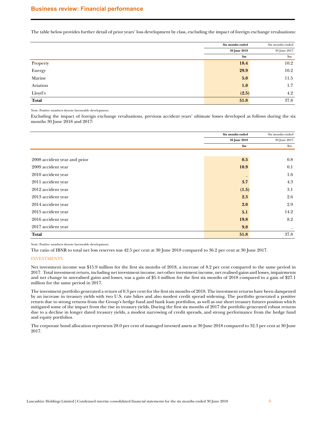The table below provides further detail of prior years' loss development by class, excluding the impact of foreign exchange revaluations:

|          | Six months ended | Six months ended |
|----------|------------------|------------------|
|          | 30 June 2018     | 30 June 2017     |
|          | \$m\$            | $\mathbf{\$m}$   |
| Property | 18.4             | 10.2             |
| Energy   | 29.9             | 10.2             |
| Marine   | 5.0              | 11.5             |
| Aviation | 1.0              | 1.7              |
| Lloyd's  | (2.5)            | 4.2              |
| Total    | 51.8             | 37.8             |

Note: Positive numbers denote favourable development.

Excluding the impact of foreign exchange revaluations, previous accident years' ultimate losses developed as follows during the six months 30 June 2018 and 2017:

|                              | Six months ended | Six months ended       |
|------------------------------|------------------|------------------------|
|                              | 30 June 2018     | 30 June 2017           |
|                              | \$m\$            | $\mathop{\mathrm{Sm}}$ |
|                              |                  |                        |
| 2008 accident year and prior | 0.5              | 0.8                    |
| 2009 accident year           | 10.9             | 0.1                    |
| 2010 accident year           |                  | 1.6                    |
| 2011 accident year           | 3.7              | 4.3                    |
| 2012 accident year           | (1.5)            | 3.1                    |
| 2013 accident year           | 2.3              | 2.6                    |
| 2014 accident year           | 2.0              | 2.9                    |
| 2015 accident year           | 5.1              | 14.2                   |
| 2016 accident year           | 19.8             | 8.2                    |
| 2017 accident year           | 9.0              |                        |
| <b>Total</b>                 | 51.8             | 37.8                   |

Note: Positive numbers denote favourable development.

The ratio of IBNR to total net loss reserves was 42.5 per cent at 30 June 2018 compared to 36.2 per cent at 30 June 2017.

## INVESTMENTS

Net investment income was \$15.9 million for the first six months of 2018, a increase of 8.2 per cent compared to the same period in 2017. Total investment return, including net investment income, net other investment income, net realised gains and losses, impairments and net change in unrealised gains and losses, was a gain of \$5.4 million for the first six months of 2018 compared to a gain of \$27.1 million for the same period in 2017.

The investment portfolio generated a return of 0.3 per cent for the first six months of 2018. The investment returns have been dampened by an increase in treasury yields with two U.S. rate hikes and also modest credit spread widening. The portfolio generated a positive return due to strong returns from the Group's hedge fund and bank loan portfolios, as well as our short treasury futures position which mitigated some of the impact from the rise in treasury yields. During the first six months of 2017 the portfolio generated robust returns due to a decline in longer dated treasury yields, a modest narrowing of credit spreads, and strong performance from the hedge fund and equity portfolios.

The corporate bond allocation represents 28.0 per cent of managed invested assets at 30 June 2018 compared to 32.3 per cent at 30 June 2017.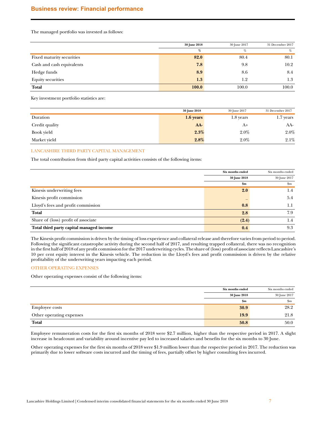The managed portfolio was invested as follows:

|                           | 30 June 2018 | 30 June 2017 | 31 December 2017 |
|---------------------------|--------------|--------------|------------------|
|                           | %            | %            | %                |
| Fixed maturity securities | 82.0         | 80.4         | 80.1             |
| Cash and cash equivalents | 7.8          | 9.8          | 10.2             |
| Hedge funds               | 8.9          | 8.6          | 8.4              |
| <b>Equity securities</b>  | 1.3          | 1.2          | 1.3              |
| Total                     | 100.0        | 100.0        | 100.0            |

Key investment portfolio statistics are:

|                | 30 June 2018 | 30 June 2017 | 31 December 2017 |
|----------------|--------------|--------------|------------------|
| Duration       | $1.6$ years  | 1.8 years    | 1.7 years        |
| Credit quality | AA           | A+           | AA-              |
| Book yield     | 2.3%         | $2.0\%$      | 2.0%             |
| Market yield   | 2.8%         | $2.0\%$      | 2.1%             |

## LANCASHIRE THIRD PARTY CAPITAL MANAGEMENT

The total contribution from third party capital activities consists of the following items:

|                                          | Six months ended | Six months ended |
|------------------------------------------|------------------|------------------|
|                                          | 30 June 2018     | 30 June 2017     |
|                                          | $\mathbf{Sm}$    | $\mathbf{S}$ m   |
| Kinesis underwriting fees                | 2.0              | 1.4              |
| Kinesis profit commission                |                  | 5.4              |
| Lloyd's fees and profit commission       | 0.8              | 1.1              |
| Total                                    | 2.8              | 7.9              |
| Share of (loss) profit of associate      | (2.4)            | 1.4              |
| Total third party capital managed income | 0.4              | 9.3              |

The Kinesis profit commission is driven by the timing of loss experience and collateral release and therefore varies from period to period. Following the significant catastrophe activity during the second half of 2017, and resulting trapped collateral, there was no recognition in the first half of 2018 of any profit commission for the 2017 underwriting cycles. The share of (loss) profit of associate reflects Lancashire's 10 per cent equity interest in the Kinesis vehicle. The reduction in the Lloyd's fees and profit commission is driven by the relative profitability of the underwriting years impacting each period.

## OTHER OPERATING EXPENSES

Other operating expenses consist of the following items:

|                          | Six months ended | Six months ended |
|--------------------------|------------------|------------------|
|                          | 30 June 2018     | 30 June 2017     |
|                          | \$m              | $\mathbf{S}$ m   |
| <b>Employee costs</b>    | 30.9             | 28.2             |
| Other operating expenses | 19.9             | 21.8             |
| <b>Total</b>             | 50.8             | 50.0             |

Employee remuneration costs for the first six months of 2018 were \$2.7 million, higher than the respective period in 2017. A slight increase in headcount and variability around incentive pay led to increased salaries and benefits for the six months to 30 June.

Other operating expenses for the first six months of 2018 were \$1.9 million lower than the respective period in 2017. The reduction was primarily due to lower software costs incurred and the timing of fees, partially offset by higher consulting fees incurred.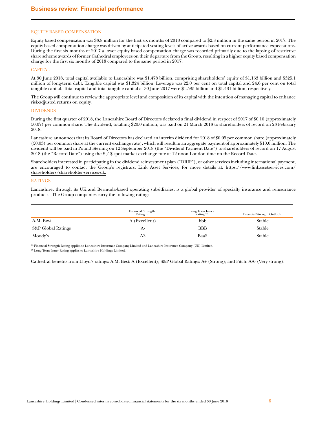## EQUITY BASED COMPENSATION

Equity based compensation was \$3.8 million for the first six months of 2018 compared to \$2.8 million in the same period in 2017. The equity based compensation charge was driven by anticipated vesting levels of active awards based on current performance expectations. During the first six months of 2017 a lower equity based compensation charge was recorded primarily due to the lapsing of restrictive share scheme awards of former Cathedral employees on their departure from the Group, resulting in a higher equity based compensation charge for the first six months of 2018 compared to the same period in 2017.

## **CAPITAL**

At 30 June 2018, total capital available to Lancashire was \$1.478 billion, comprising shareholders' equity of \$1.153 billion and \$325.1 million of long-term debt. Tangible capital was \$1.324 billion. Leverage was 22.0 per cent on total capital and 24.6 per cent on total tangible capital. Total capital and total tangible capital at 30 June 2017 were \$1.585 billion and \$1.431 billion, respectively.

The Group will continue to review the appropriate level and composition of its capital with the intention of managing capital to enhance risk-adjusted returns on equity.

## DIVIDENDS

During the first quarter of 2018, the Lancashire Board of Directors declared a final dividend in respect of 2017 of \$0.10 (approximately £0.07) per common share. The dividend, totalling \$20.0 million, was paid on 21 March 2018 to shareholders of record on 23 February 2018.

Lancashire announces that its Board of Directors has declared an interim dividend for 2018 of \$0.05 per common share (approximately (£0.03) per common share at the current exchange rate), which will result in an aggregate payment of approximately \$10.0 million. The dividend will be paid in Pound Sterling on 12 September 2018 (the "Dividend Payment Date") to shareholders of record on 17 August 2018 (the "Record Date") using the £ / \$ spot market exchange rate at 12 noon London time on the Record Date.

Shareholders interested in participating in the dividend reinvestment plan ("DRIP"), or other services including international payment, are encouraged to contact the Group's registrars, Link Asset Services, for more details at: https://www.linkassetservices.com/ shareholders/shareholder-services-uk.

## RATINGS

Lancashire, through its UK and Bermuda-based operating subsidiaries, is a global provider of specialty insurance and reinsurance products. The Group companies carry the following ratings:

|                    | Financial Strength<br>Rating <sup>(1)</sup> | Long Term Issuer<br>Rating <sup>(2)</sup> | Financial Strength Outlook |
|--------------------|---------------------------------------------|-------------------------------------------|----------------------------|
| A.M. Best          | A (Excellent)                               | bbb                                       | Stable                     |
| S&P Global Ratings | $A-$                                        | <b>BBB</b>                                | Stable                     |
| Moody's            | A3                                          | Baa2                                      | Stable                     |

(1) Financial Strength Rating applies to Lancashire Insurance Company Limited and Lancashire Insurance Company (UK) Limited.

(2) Long Term Issuer Rating applies to Lancashire Holdings Limited.

Cathedral benefits from Lloyd's ratings: A.M. Best: A (Excellent); S&P Global Ratings: A+ (Strong); and Fitch: AA- (Very strong).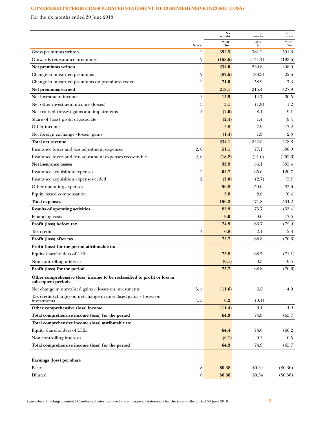# <span id="page-8-0"></span>**CONDENSED INTERIM CONSOLIDATED STATEMENT OF COMPREHENSIVE INCOME (LOSS)**

For the six months ended 30 June 2018

|                                                                                                 |                | <b>Six</b><br>${\bf months}$ | Six<br>months | Twelve<br>months |
|-------------------------------------------------------------------------------------------------|----------------|------------------------------|---------------|------------------|
|                                                                                                 | <b>Notes</b>   | 2018<br>\$m                  | 2017<br>\$m   | 2017<br>\$m      |
| Gross premiums written                                                                          | 2              | 392.5                        | 381.2         | 591.6            |
| Outwards reinsurance premiums                                                                   | 2              | (158.5)                      | (141.4)       | (193.6)          |
| Net premiums written                                                                            |                | 234.0                        | 239.8         | 398.0            |
| Change in unearned premiums                                                                     | $\overline{2}$ | (87.5)                       | (83.3)        | 22.6             |
| Change in unearned premiums on premiums ceded                                                   | 2              | 71.6                         | 58.9          | 7.3              |
| Net premiums earned                                                                             |                | 218.1                        | 215.4         | 427.9            |
| Net investment income                                                                           | 3              | 15.9                         | 14.7          | 30.5             |
| Net other investment income (losses)                                                            | 3              | 3.1                          | (1.9)         | 1.2              |
| Net realised (losses) gains and impairments                                                     | 3              | (2.0)                        | 8.1           | 9.1              |
| Share of (loss) profit of associate                                                             |                | (2.4)                        | 1.4           | (9.4)            |
| Other income                                                                                    |                | 2.8                          | 7.9           | 17.2             |
| Net foreign exchange (losses) gains                                                             |                | (1.4)                        | 1.9           | 2.3              |
| Total net revenue                                                                               |                | 234.1                        | 247.5         | 478.8            |
| Insurance losses and loss adjustment expenses                                                   | 2,6            | 51.1                         | 77.1          | 538.0            |
| Insurance losses and loss adjustment expenses recoverable                                       | 2, 6           | (18.2)                       | (21.0)        | (202.6)          |
| <b>Net insurance losses</b>                                                                     |                | 32.9                         | 56.1          | 335.4            |
| Insurance acquisition expenses                                                                  | $\overline{2}$ | 64.7                         | 65.6          | 120.7            |
| Insurance acquisition expenses ceded                                                            | $\overline{2}$ | (2.0)                        | (2.7)         | (5.1)            |
| Other operating expenses                                                                        |                | 50.8                         | 50.0          | 83.6             |
| Equity based compensation                                                                       |                | 3.8                          | 2.8           | (0.4)            |
| <b>Total expenses</b>                                                                           |                | 150.2                        | 171.8         | 534.2            |
| <b>Results of operating activities</b>                                                          |                | 83.9                         | 75.7          | (55.4)           |
| Financing costs                                                                                 |                | 9.0                          | 9.0           | 17.5             |
| Profit (loss) before tax                                                                        |                | 74.9                         | 66.7          | (72.9)           |
| Tax credit                                                                                      | $\overline{4}$ | 0.8                          | 2.1           | 2.3              |
| Profit (loss) after tax                                                                         |                | 75.7                         | 68.8          | (70.6)           |
| Profit (loss) for the period attributable to:                                                   |                |                              |               |                  |
| Equity shareholders of LHL                                                                      |                | 75.8                         | 68.5          | (71.1)           |
| Non-controlling interests                                                                       |                | (0.1)                        | 0.3           | 0.5              |
| Profit (loss) for the period                                                                    |                | 75.7                         | 68.8          | (70.6)           |
| Other comprehensive (loss) income to be reclassified to profit or loss in<br>subsequent periods |                |                              |               |                  |
| Net change in unrealised gains / losses on investments                                          | 3, 5           | (11.6)                       | 6.2           | 4.9              |
| Tax credit (charge) on net change in unrealised gains / losses on<br>investments                | 4, 5           | 0.2                          | (0.1)         |                  |
| Other comprehensive (loss) income                                                               |                | (11.4)                       | 6.1           | 4.9              |
| Total comprehensive income (loss) for the period                                                |                | 64.3                         | 74.9          | (65.7)           |
| Total comprehensive income (loss) attributable to:                                              |                |                              |               |                  |
| Equity shareholders of LHL                                                                      |                | 64.4                         | 74.6          | (66.2)           |
| Non-controlling interests                                                                       |                | (0.1)                        | 0.3           | $0.5\,$          |
| Total comprehensive income (loss) for the period                                                |                | 64.3                         | 74.9          | (65.7)           |
|                                                                                                 |                |                              |               |                  |
| Earnings (loss) per share                                                                       |                |                              |               |                  |
| Basic                                                                                           | 8              | \$0.38                       | \$0.34        | $(\$0.36)$       |
| Diluted                                                                                         | 8              | \$0.38                       | \$0.34        | $(\$0.36)$       |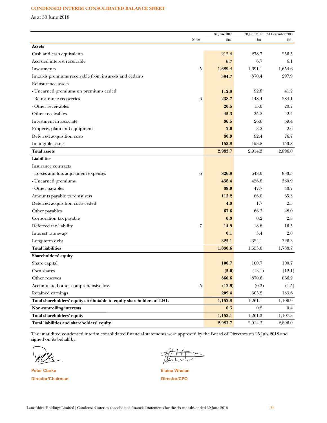## CONDENSED INTERIM CONSOLIDATED BALANCE SHEET

As at  $30$  June  $2018\,$ 

|                                                                       | <b>Notes</b> | 30 June 2018<br>\$m | 30 June 2017<br>\$m | 31 December 2017<br>$\mathbf{Sm}$ |
|-----------------------------------------------------------------------|--------------|---------------------|---------------------|-----------------------------------|
| <b>Assets</b>                                                         |              |                     |                     |                                   |
| Cash and cash equivalents                                             |              | 212.4               | 278.7               | 256.5                             |
| Accrued interest receivable                                           |              | 6.7                 | 6.7                 | 6.1                               |
| Investments                                                           | 5            | 1,689.4             | 1,691.1             | 1,654.6                           |
| Inwards premiums receivable from insureds and cedants                 |              | 384.7               | 370.4               | 297.9                             |
| Reinsurance assets                                                    |              |                     |                     |                                   |
| - Unearned premiums on premiums ceded                                 |              | 112.8               | 92.8                | 41.2                              |
| - Reinsurance recoveries                                              | 6            | 238.7               | 148.4               | 284.1                             |
| - Other receivables                                                   |              | 20.5                | 15.0                | 20.7                              |
| Other receivables                                                     |              | 45.3                | 35.2                | 42.4                              |
| Investment in associate                                               |              | 36.5                | 26.6                | 59.4                              |
| Property, plant and equipment                                         |              | 2.0                 | 3.2                 | 2.6                               |
| Deferred acquisition costs                                            |              | 80.9                | 92.4                | 76.7                              |
| Intangible assets                                                     |              | 153.8               | 153.8               | 153.8                             |
| <b>Total assets</b>                                                   |              | 2,983.7             | 2,914.3             | 2,896.0                           |
| <b>Liabilities</b>                                                    |              |                     |                     |                                   |
| Insurance contracts                                                   |              |                     |                     |                                   |
| - Losses and loss adjustment expenses                                 | 6            | 826.8               | 648.0               | 933.5                             |
| - Unearned premiums                                                   |              | 438.4               | 456.8               | 350.9                             |
| - Other payables                                                      |              | 39.9                | 47.7                | 40.7                              |
| Amounts payable to reinsurers                                         |              | 113.2               | 86.0                | 65.5                              |
| Deferred acquisition costs ceded                                      |              | 4.3                 | $1.7\,$             | 2.5                               |
| Other payables                                                        |              | 67.6                | 66.3                | 48.0                              |
| Corporation tax payable                                               |              | 0.3                 | 0.2                 | 2.8                               |
| Deferred tax liability                                                | 7            | 14.9                | 18.8                | 16.5                              |
| Interest rate swap                                                    |              | 0.1                 | 3.4                 | 2.0                               |
| Long-term debt                                                        |              | 325.1               | 324.1               | 326.3                             |
| <b>Total liabilities</b>                                              |              | 1,830.6             | 1,653.0             | 1,788.7                           |
| Shareholders' equity                                                  |              |                     |                     |                                   |
| Share capital                                                         |              | 100.7               | 100.7               | 100.7                             |
| Own shares                                                            |              | (5.0)               | (13.1)              | (12.1)                            |
| Other reserves                                                        |              | 860.6               | 870.6               | 866.2                             |
| Accumulated other comprehensive loss                                  | 5            | (12.9)              | (0.3)               | (1.5)                             |
| Retained earnings                                                     |              | 209.4               | 303.2               | 153.6                             |
| Total shareholders' equity attributable to equity shareholders of LHL |              | 1,152.8             | 1,261.1             | 1,106.9                           |
| Non-controlling interests                                             |              | 0.3                 | 0.2                 | $0.4\,$                           |
| Total shareholders' equity                                            |              | 1,153.1             | 1,261.3             | 1,107.3                           |
| Total liabilities and shareholders' equity                            |              | 2,983.7             | 2,914.3             | 2,896.0                           |

The unaudited condensed interim consolidated financial statements were approved by the Board of Directors on 25 July 2018 and signed on its behalf by:

**Peter Clarke** Director/Chairman

 $\Rightarrow$ 

**Elaine Whelan** Director/CFO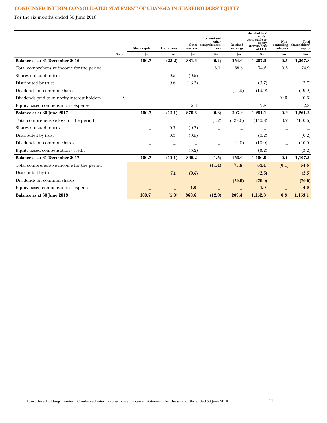# **CONDENSED INTERIM CONSOLIDATED STATEMENT OF CHANGES IN SHAREHOLDERS' EQUITY**

For the six months ended 30 June 2018

|                                             |                          |                          |                          | Accumulated<br>other<br>Other comprehensive | <b>Retained</b> | Shareholders'<br>equity<br>attributable to<br>equity<br>shareholders | Non-<br>controlling | <b>Total</b><br>shareholders' |
|---------------------------------------------|--------------------------|--------------------------|--------------------------|---------------------------------------------|-----------------|----------------------------------------------------------------------|---------------------|-------------------------------|
|                                             | Share capital            | Own shares               | reserves                 | loss                                        | earnings        | of LHL                                                               | interests           | equity                        |
| <b>Notes</b>                                | \$m                      | \$m\$                    | \$m\$                    | $\mathbf{Sm}$                               | \$m\$           | \$m\$                                                                | \$m\$               | \$m\$                         |
| Balance as at 31 December 2016              | 100.7                    | (23.2)                   | 881.6                    | (6.4)                                       | 254.6           | 1,207.3                                                              | 0.5                 | 1,207.8                       |
| Total comprehensive income for the period   | $\overline{\phantom{0}}$ |                          |                          | 6.1                                         | 68.5            | 74.6                                                                 | 0.3                 | 74.9                          |
| Shares donated to trust                     |                          | 0.5                      | (0.5)                    |                                             |                 |                                                                      |                     |                               |
| Distributed by trust                        |                          | 9.6                      | (13.3)                   |                                             |                 | (3.7)                                                                |                     | (3.7)                         |
| Dividends on common shares                  |                          |                          |                          |                                             | (19.9)          | (19.9)                                                               |                     | (19.9)                        |
| Dividends paid to minority interest holders | 9                        |                          |                          |                                             |                 |                                                                      | (0.6)               | (0.6)                         |
| Equity based compensation - expense         |                          |                          | 2.8                      |                                             |                 | 2.8                                                                  |                     | 2.8                           |
| Balance as at 30 June 2017                  | 100.7                    | (13.1)                   | 870.6                    | (0.3)                                       | 303.2           | 1,261.1                                                              | 0.2                 | 1,261.3                       |
| Total comprehensive loss for the period     |                          |                          |                          | (1.2)                                       | (139.6)         | (140.8)                                                              | 0.2                 | (140.6)                       |
| Shares donated to trust                     |                          | 0.7                      | (0.7)                    |                                             |                 |                                                                      |                     |                               |
| Distributed by trust                        |                          | 0.3                      | (0.5)                    |                                             |                 | (0.2)                                                                |                     | (0.2)                         |
| Dividends on common shares                  |                          | $\overline{\phantom{m}}$ | $\overline{\phantom{m}}$ | $\overline{\phantom{0}}$                    | (10.0)          | (10.0)                                                               |                     | (10.0)                        |
| Equity based compensation - credit          |                          | $\overline{\phantom{m}}$ | (3.2)                    |                                             |                 | (3.2)                                                                |                     | (3.2)                         |
| Balance as at 31 December 2017              | 100.7                    | (12.1)                   | 866.2                    | (1.5)                                       | 153.6           | 1,106.9                                                              | 0.4                 | 1,107.3                       |
| Total comprehensive income for the period   | -                        | $\qquad \qquad$          |                          | (11.4)                                      | 75.8            | 64.4                                                                 | (0.1)               | 64.3                          |
| Distributed by trust                        |                          | 7.1                      | (9.6)                    |                                             |                 | (2.5)                                                                | $\equiv$            | (2.5)                         |
| Dividends on common shares                  |                          |                          |                          |                                             | (20.0)          | (20.0)                                                               |                     | (20.0)                        |
| Equity based compensation - expense         |                          |                          | 4.0                      |                                             |                 | 4.0                                                                  |                     | 4.0                           |
| Balance as at 30 June 2018                  | 100.7                    | (5.0)                    | 860.6                    | (12.9)                                      | 209.4           | 1,152.8                                                              | 0.3                 | 1,153.1                       |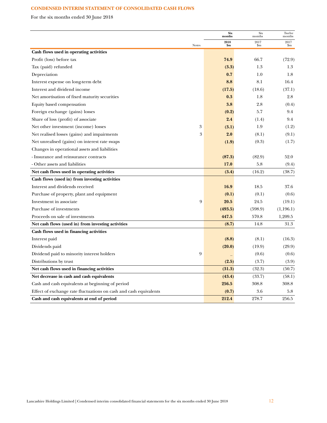# **CONDENSED INTERIM STATEMENT OF CONSOLIDATED CASH FLOWS**

For the six months ended 30 June 2018

|                                                                   | <b>Six</b><br>months | Six<br>months | Twelve<br>months |
|-------------------------------------------------------------------|----------------------|---------------|------------------|
| Notes                                                             | 2018<br>\$m          | 2017<br>\$m   | 2017<br>\$m      |
| Cash flows used in operating activities                           |                      |               |                  |
| Profit (loss) before tax                                          | 74.9                 | 66.7          | (72.9)           |
| Tax (paid) refunded                                               | (3.3)                | 1.3           | 1.3              |
| Depreciation                                                      | 0.7                  | 1.0           | 1.8              |
| Interest expense on long-term debt                                | 8.8                  | 8.1           | 16.4             |
| Interest and dividend income                                      | (17.5)               | (18.6)        | (37.1)           |
| Net amortisation of fixed maturity securities                     | 0.3                  | 1.8           | 2.8              |
| Equity based compensation                                         | 3.8                  | 2.8           | (0.4)            |
| Foreign exchange (gains) losses                                   | (0.2)                | 5.7           | 9.4              |
| Share of loss (profit) of associate                               | 2.4                  | (1.4)         | 9.4              |
| 3<br>Net other investment (income) losses                         | (3.1)                | 1.9           | (1.2)            |
| 3<br>Net realised losses (gains) and impairments                  | 2.0                  | (8.1)         | (9.1)            |
| Net unrealised (gains) on interest rate swaps                     | (1.9)                | (0.3)         | (1.7)            |
| Changes in operational assets and liabilities                     |                      |               |                  |
| - Insurance and reinsurance contracts                             | (87.3)               | (82.9)        | 52.0             |
| - Other assets and liabilities                                    | 17.0                 | 5.8           | (9.4)            |
| Net cash flows used in operating activities                       | (3.4)                | (16.2)        | (38.7)           |
| Cash flows (used in) from investing activities                    |                      |               |                  |
| Interest and dividends received                                   | 16.9                 | 18.5          | 37.6             |
| Purchase of property, plant and equipment                         | (0.1)                | (0.1)         | (0.6)            |
| 9<br>Investment in associate                                      | 20.5                 | 24.5          | (19.1)           |
| Purchase of investments                                           | (493.5)              | (598.9)       | (1,196.1)        |
| Proceeds on sale of investments                                   | 447.5                | 570.8         | 1,209.5          |
| Net cash flows (used in) from investing activities                | (8.7)                | 14.8          | 31.3             |
| Cash flows used in financing activities                           |                      |               |                  |
| Interest paid                                                     | (8.8)                | (8.1)         | (16.3)           |
| Dividends paid                                                    | (20.0)               | (19.9)        | (29.9)           |
| 9<br>Dividend paid to minority interest holders                   |                      | (0.6)         | (0.6)            |
| Distributions by trust                                            | (2.5)                | (3.7)         | (3.9)            |
| Net cash flows used in financing activities                       | (31.3)               | (32.3)        | (50.7)           |
| Net decrease in cash and cash equivalents                         | (43.4)               | (33.7)        | (58.1)           |
| Cash and cash equivalents at beginning of period                  | 256.5                | 308.8         | 308.8            |
| Effect of exchange rate fluctuations on cash and cash equivalents | (0.7)                | 3.6           | 5.8              |
| Cash and cash equivalents at end of period                        | 212.4                | 278.7         | 256.5            |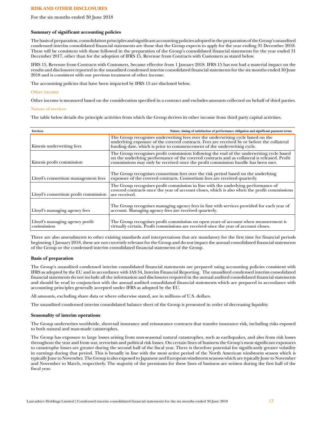## **RISK AND OTHER DISCLOSURES**

For the six months ended 30 June 2018

## **Summary of significant accounting policies**

The basis of preparation, consolidation principles and significant accounting policies adopted in the preparation of the Group's unaudited condensed interim consolidated financial statements are those that the Group expects to apply for the year ending 31 December 2018. These will be consistent with those followed in the preparation of the Group's consolidated financial statements for the year ended 31 December 2017, other than for the adoption of IFRS 15, Revenue from Contracts with Customers as stated below.

IFRS 15, Revenue from Contracts with Customers, became effective from 1 January 2018. IFRS 15 has not had a material impact on the results and disclosures reported in the unaudited condensed interim consolidated financial statements for the six months ended 30 June 2018 and is consistent with our previous treatment of other income.

The accounting policies that have been impacted by IFRS 15 are disclosed below.

## Other income

Other income is measured based on the consideration specified in a contract and excludes amounts collected on behalf of third parties.

## Nature of services

The table below details the principle activities from which the Group derives its other income from third party capital activities.

| <b>Services</b>                              | Nature, timing of satisfaction of performance obligation and significant payment terms                                                                                                                                                                                       |
|----------------------------------------------|------------------------------------------------------------------------------------------------------------------------------------------------------------------------------------------------------------------------------------------------------------------------------|
| Kinesis underwriting fees                    | The Group recognises underwriting fees over the underwriting cycle based on the underlying exposure of the covered contracts. Fees are received by or before the collateral<br>funding date, which is prior to commencement of the underwriting cycle.                       |
| Kinesis profit commission                    | The Group recognises profit commission following the end of the underwriting cycle based<br>on the underlying performance of the covered contracts and as collateral is released. Profit<br>commissions may only be received once the profit commission hurdle has been met. |
| Lloyd's consortium management fees           | The Group recognises consortium fees over the risk period based on the underlying<br>exposure of the covered contracts. Consortium fees are received quarterly.                                                                                                              |
| Lloyd's consortium profit commission         | The Group recognises profit commission in line with the underlying performance of covered contracts once the year of account closes, which is also when the profit commissions<br>are received.                                                                              |
| Lloyd's managing agency fees                 | The Group recognises managing agency fees in line with services provided for each year of<br>account. Managing agency fees are received quarterly.                                                                                                                           |
| Lloyd's managing agency profit<br>commission | The Group recognises profit commission on open years of account when measurement is<br>virtually certain. Profit commissions are received once the year of account closes.                                                                                                   |

There are also amendments to other existing standards and interpretations that are mandatory for the first time for financial periods beginning 1 January 2018, these are not currently relevant for the Group and do not impact the annual consolidated financial statements of the Group or the condensed interim consolidated financial statements of the Group.

## **Basis of preparation**

The Group's unaudited condensed interim consolidated financial statements are prepared using accounting policies consistent with IFRS as adopted by the EU and in accordance with IAS 34, Interim Financial Reporting. The unaudited condensed interim consolidated financial statements do not include all the information and disclosures required in the annual audited consolidated financial statements and should be read in conjunction with the annual audited consolidated financial statements which are prepared in accordance with accounting principles generally accepted under IFRS as adopted by the EU.

All amounts, excluding share data or where otherwise stated, are in millions of U.S. dollars.

The unaudited condensed interim consolidated balance sheet of the Group is presented in order of decreasing liquidity.

## **Seasonality of interim operations**

The Group underwrites worldwide, short-tail insurance and reinsurance contracts that transfer insurance risk, including risks exposed to both natural and man-made catastrophes.

The Group has exposure to large losses arising from non-seasonal natural catastrophes, such as earthquakes, and also from risk losses throughout the year and from war, terrorism and political risk losses. On certain lines of business the Group's most significant exposures to catastrophe losses are greater during the second half of the fiscal year. There is therefore potential for significantly greater volatility in earnings during that period. This is broadly in line with the most active period of the North American windstorm season which is typically June to November. The Group is also exposed to Japanese and European windstorm seasons which are typically June to November and November to March, respectively. The majority of the premiums for these lines of business are written during the first half of the fiscal year.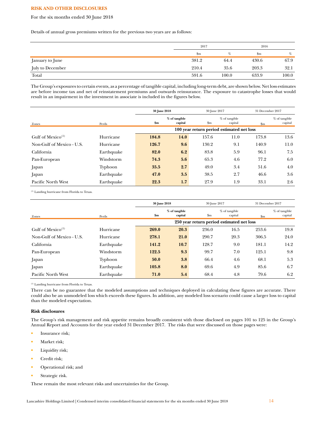## **RISK AND OTHER DISCLOSURES**

For the six months ended 30 June 2018

Details of annual gross premiums written for the previous two years are as follows:

|                  | 2017          |       | 2016                      |       |
|------------------|---------------|-------|---------------------------|-------|
|                  | $\mathbf{Sm}$ | %     | $\mathbf{S}_{\mathbf{m}}$ | $\%$  |
| January to June  | 381.2         | 64.4  | 430.6                     | 67.9  |
| July to December | 210.4         | 35.6  | 203.3                     | 32.1  |
| Total            | 591.6         | 100.0 | 633.9                     | 100.0 |

The Group's exposures to certain events, as a percentage of tangible capital, including long-term debt, are shown below. Net loss estimates are before income tax and net of reinstatement premiums and outwards reinsurance. The exposure to catastrophe losses that would result in an impairment in the investment in associate is included in the figures below.

|                               |            |       | 30 June 2018<br>30 June 2017 |                           |                                           | 31 December 2017 |                          |
|-------------------------------|------------|-------|------------------------------|---------------------------|-------------------------------------------|------------------|--------------------------|
| Zones                         | Perils     | \$m   | % of tangible<br>capital     | $\mathbf{S}_{\mathbf{m}}$ | % of tangible<br>capital                  | $\mathbf{Sm}$    | % of tangible<br>capital |
|                               |            |       |                              |                           | 100 year return period estimated net loss |                  |                          |
| Gulf of Mexico <sup>(1)</sup> | Hurricane  | 184.8 | 14.0                         | 157.6                     | 11.0                                      | 173.8            | 13.6                     |
| Non-Gulf of Mexico - U.S.     | Hurricane  | 126.7 | 9.6                          | 130.2                     | 9.1                                       | 140.9            | 11.0                     |
| California                    | Earthquake | 82.0  | 6.2                          | 83.8                      | 5.9                                       | 96.1             | 7.5                      |
| Pan-European                  | Windstorm  | 74.3  | 5.6                          | 65.3                      | 4.6                                       | 77.2             | 6.0                      |
| Japan                         | Typhoon    | 35.5  | 2.7                          | 49.0                      | 3.4                                       | 51.6             | 4.0                      |
| Japan                         | Earthquake | 47.0  | 3.5                          | 38.5                      | 2.7                                       | 46.6             | 3.6                      |
| Pacific North West            | Earthquake | 22.3  | 1.7                          | 27.9                      | 1.9                                       | 33.1             | 2.6                      |

(1) Landing hurricane from Florida to Texas.

|                               |            | 30 June 2018 |               |               | 30 June 2017                              |               | 31 December 2017 |
|-------------------------------|------------|--------------|---------------|---------------|-------------------------------------------|---------------|------------------|
|                               |            |              | % of tangible |               | % of tangible                             |               | % of tangible    |
| Zones                         | Perils     | \$m          | capital       | $\mathbf{Sm}$ | capital                                   | $\mathbf{Sm}$ | capital          |
|                               |            |              |               |               | 250 year return period estimated net loss |               |                  |
| Gulf of Mexico <sup>(1)</sup> | Hurricane  | 269.0        | 20.3          | 236.0         | 16.5                                      | 253.6         | 19.8             |
| Non-Gulf of Mexico - U.S.     | Hurricane  | 278.1        | 21.0          | 290.7         | 20.3                                      | 306.5         | 24.0             |
| California                    | Earthquake | 141.2        | 10.7          | 128.7         | 9.0                                       | 181.1         | 14.2             |
| Pan-European                  | Windstorm  | 122.5        | 9.3           | 99.7          | 7.0                                       | 125.1         | 9.8              |
| Japan                         | Typhoon    | 50.0         | 3.8           | 66.4          | 4.6                                       | 68.1          | 5.3              |
| Japan                         | Earthquake | 105.8        | 8.0           | 69.6          | 4.9                                       | 85.6          | 6.7              |
| Pacific North West            | Earthquake | 71.0         | 5.4           | 68.4          | 4.8                                       | 79.6          | 6.2              |

(1) Landing hurricane from Florida to Texas.

There can be no guarantee that the modeled assumptions and techniques deployed in calculating these figures are accurate. There could also be an unmodeled loss which exceeds these figures. In addition, any modeled loss scenario could cause a larger loss to capital than the modeled expectation.

## **Risk disclosures**

The Group's risk management and risk appetite remains broadly consistent with those disclosed on pages 101 to 125 in the Group's Annual Report and Accounts for the year ended 31 December 2017. The risks that were discussed on those pages were:

- Insurance risk;
- Market risk;
- Liquidity risk;
- Credit risk;
- Operational risk; and
- Strategic risk.

These remain the most relevant risks and uncertainties for the Group.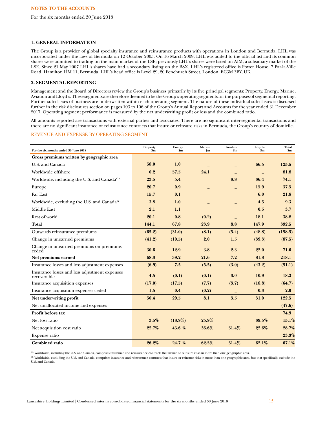For the six months ended 30 June 2018

## **1. GENERAL INFORMATION**

The Group is a provider of global specialty insurance and reinsurance products with operations in London and Bermuda. LHL was incorporated under the laws of Bermuda on 12 October 2005. On 16 March 2009, LHL was added to the official list and its common shares were admitted to trading on the main market of the LSE; previously LHL's shares were listed on AIM, a subsidiary market of the LSE. Since 21 May 2007 LHL's shares have had a secondary listing on the BSX. LHL's registered office is Power House, 7 Par-la-Ville Road, Hamilton HM 11, Bermuda. LHL's head office is Level 29, 20 Fenchurch Street, London, EC3M 3BY, UK.

# **2. SEGMENTAL REPORTING**

Management and the Board of Directors review the Group's business primarily by its five principal segments: Property, Energy, Marine, Aviation and Lloyd's. These segments are therefore deemed to be the Group's operating segments for the purposes of segmental reporting. Further sub-classes of business are underwritten within each operating segment. The nature of these individual sub-classes is discussed further in the risk disclosures section on pages 103 to 106 of the Group's Annual Report and Accounts for the year ended 31 December 2017. Operating segment performance is measured by the net underwriting profit or loss and the combined ratio.

All amounts reported are transactions with external parties and associates. There are no significant inter-segmental transactions and there are no significant insurance or reinsurance contracts that insure or reinsure risks in Bermuda, the Group's country of domicile.

## REVENUE AND EXPENSE BY OPERATING SEGMENT

| For the six months ended 30 June 2018                        | Property<br>$\sin$ | <b>Energy</b><br>$\mathbf{S}_{\mathbf{m}}$ | Marine<br>$\mathbf{Sm}$ | <b>Aviation</b><br>$\mathbf{Sm}$ | Lloyd's<br>$\mathbf{Sm}$ | <b>Total</b><br>$\mathbf{Sm}$ |
|--------------------------------------------------------------|--------------------|--------------------------------------------|-------------------------|----------------------------------|--------------------------|-------------------------------|
| Gross premiums written by geographic area                    |                    |                                            |                         |                                  |                          |                               |
| U.S. and Canada                                              | 58.0               | 1.0                                        |                         |                                  | 66.5                     | 125.5                         |
| Worldwide offshore                                           | 0.2                | 57.5                                       | 24.1                    |                                  |                          | 81.8                          |
| Worldwide, including the U.S. and Canada <sup>(1)</sup>      | 23.5               | 5.4                                        |                         | 8.8                              | 36.4                     | 74.1                          |
| Europe                                                       | 20.7               | 0.9                                        |                         |                                  | 15.9                     | 37.5                          |
| Far East                                                     | 15.7               | 0.1                                        |                         |                                  | 6.0                      | 21.8                          |
| Worldwide, excluding the U.S. and Canada <sup>(2)</sup>      | 3.8                | 1.0                                        |                         |                                  | 4.5                      | 9.3                           |
| <b>Middle East</b>                                           | 2.1                | 1.1                                        |                         |                                  | 0.5                      | 3.7                           |
| Rest of world                                                | 20.1               | 0.8                                        | (0.2)                   |                                  | 18.1                     | 38.8                          |
| <b>Total</b>                                                 | 144.1              | 67.8                                       | 23.9                    | 8.8                              | 147.9                    | 392.5                         |
| Outwards reinsurance premiums                                | (65.2)             | (31.0)                                     | (8.1)                   | (5.4)                            | (48.8)                   | (158.5)                       |
| Change in unearned premiums                                  | (41.2)             | (10.5)                                     | 2.0                     | 1.5                              | (39.3)                   | (87.5)                        |
| Change in unearned premiums on premiums<br>ceded             | 30.6               | 12.9                                       | 3.8                     | 2.3                              | 22.0                     | 71.6                          |
| Net premiums earned                                          | 68.3               | 39.2                                       | 21.6                    | 7.2                              | 81.8                     | 218.1                         |
| Insurance losses and loss adjustment expenses                | (6.9)              | 7.5                                        | (5.5)                   | (3.0)                            | (43.2)                   | (51.1)                        |
| Insurance losses and loss adjustment expenses<br>recoverable | 4.5                | (0.1)                                      | (0.1)                   | 3.0                              | 10.9                     | 18.2                          |
| Insurance acquisition expenses                               | (17.0)             | (17.5)                                     | (7.7)                   | (3.7)                            | (18.8)                   | (64.7)                        |
| Insurance acquisition expenses ceded                         | 1.5                | 0.4                                        | (0.2)                   |                                  | 0.3                      | 2.0                           |
| Net underwriting profit                                      | 50.4               | 29.5                                       | 8.1                     | 3.5                              | 31.0                     | 122.5                         |
| Net unallocated income and expenses                          |                    |                                            |                         |                                  |                          | (47.6)                        |
| Profit before tax                                            |                    |                                            |                         |                                  |                          | 74.9                          |
| Net loss ratio                                               | 3.5%               | $(18.9\%)$                                 | 25.9%                   |                                  | 39.5%                    | 15.1%                         |
| Net acquisition cost ratio                                   | 22.7%              | 43.6 %                                     | 36.6%                   | 51.4%                            | 22.6%                    | 28.7%                         |
| Expense ratio                                                |                    |                                            |                         |                                  |                          | 23.3%                         |
| <b>Combined ratio</b>                                        | 26.2%              | 24.7 %                                     | 62.5%                   | 51.4%                            | 62.1%                    | 67.1%                         |

(1) Worldwide, including the U.S. and Canada, comprises insurance and reinsurance contracts that insure or reinsure risks in more than one geographic area.

(2) Worldwide, excluding the U.S. and Canada, comprises insurance and reinsurance contracts that insure or reinsure risks in more than one geographic area, but that specifically exclude the U.S. and Canada.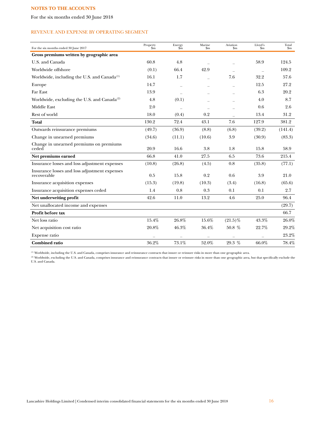For the six months ended 30 June 2018

## REVENUE AND EXPENSE BY OPERATING SEGMENT

| For the six months ended 30 June 2017                        | Property<br>$\sin$ | Energy<br>$\rm{sm}$ | Marine<br>$\mathbf{Sm}$  | Aviation<br>$_{\rm Sm}$ | Lloyd's<br>'\$m | Total<br>$\rm{Sm}$ |
|--------------------------------------------------------------|--------------------|---------------------|--------------------------|-------------------------|-----------------|--------------------|
| Gross premiums written by geographic area                    |                    |                     |                          |                         |                 |                    |
| U.S. and Canada                                              | 60.8               | 4.8                 |                          |                         | 58.9            | 124.5              |
| Worldwide offshore                                           | (0.1)              | 66.4                | 42.9                     |                         |                 | 109.2              |
| Worldwide, including the U.S. and Canada <sup>(1)</sup>      | 16.1               | 1.7                 |                          | 7.6                     | 32.2            | 57.6               |
| Europe                                                       | 14.7               |                     |                          |                         | 12.5            | 27.2               |
| Far East                                                     | 13.9               |                     |                          |                         | 6.3             | 20.2               |
| Worldwide, excluding the U.S. and Canada <sup>(2)</sup>      | 4.8                | (0.1)               |                          |                         | 4.0             | 8.7                |
| <b>Middle East</b>                                           | 2.0                |                     | $\overline{\phantom{a}}$ |                         | 0.6             | 2.6                |
| Rest of world                                                | 18.0               | (0.4)               | 0.2                      |                         | 13.4            | 31.2               |
| <b>Total</b>                                                 | 130.2              | 72.4                | 43.1                     | 7.6                     | 127.9           | 381.2              |
| Outwards reinsurance premiums                                | (49.7)             | (36.9)              | (8.8)                    | (6.8)                   | (39.2)          | (141.4)            |
| Change in unearned premiums                                  | (34.6)             | (11.1)              | (10.6)                   | 3.9                     | (30.9)          | (83.3)             |
| Change in unearned premiums on premiums<br>ceded             | 20.9               | 16.6                | 3.8                      | 1.8                     | 15.8            | 58.9               |
| Net premiums earned                                          | 66.8               | 41.0                | 27.5                     | 6.5                     | 73.6            | 215.4              |
| Insurance losses and loss adjustment expenses                | (10.8)             | (26.8)              | (4.5)                    | 0.8                     | (35.8)          | (77.1)             |
| Insurance losses and loss adjustment expenses<br>recoverable | 0.5                | 15.8                | 0.2                      | 0.6                     | 3.9             | 21.0               |
| Insurance acquisition expenses                               | (15.3)             | (19.8)              | (10.3)                   | (3.4)                   | (16.8)          | (65.6)             |
| Insurance acquisition expenses ceded                         | 1.4                | 0.8                 | 0.3                      | 0.1                     | 0.1             | 2.7                |
| Net underwriting profit                                      | 42.6               | 11.0                | 13.2                     | 4.6                     | 25.0            | 96.4               |
| Net unallocated income and expenses                          |                    |                     |                          |                         |                 | (29.7)             |
| Profit before tax                                            |                    |                     |                          |                         |                 | 66.7               |
| Net loss ratio                                               | 15.4%              | 26.8%               | 15.6%                    | $(21.5)\%$              | 43.3%           | 26.0%              |
| Net acquisition cost ratio                                   | 20.8%              | 46.3%               | 36.4%                    | 50.8 $%$                | 22.7%           | 29.2%              |
| Expense ratio                                                |                    |                     |                          |                         |                 | 23.2%              |
| <b>Combined ratio</b>                                        | 36.2%              | 73.1%               | 52.0%                    | 29.3 %                  | 66.0%           | 78.4%              |

(1) Worldwide, including the U.S. and Canada, comprises insurance and reinsurance contracts that insure or reinsure risks in more than one geographic area.

<sup>(2)</sup> Worldwide, excluding the U.S. and Canada, comprises insurance and reinsurance contracts that insure or reinsure risks in more than one geographic area, but that specifically exclude the<br>U.S. and Canada.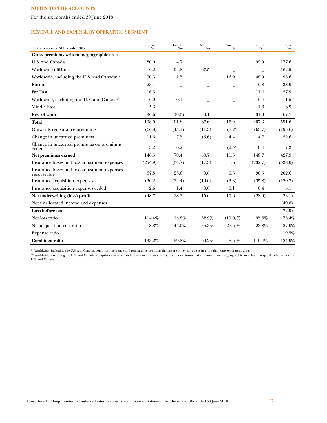For the six months ended 30 June 2018

## REVENUE AND EXPENSE BY OPERATING SEGMENT

| For the year ended 31 December 2017                          | Property<br>$\sin$ | Energy<br>$\widetilde{\mathbf{sm}}$ | Marine<br>$\mathbf{Sm}$ | Aviation<br>$_{\rm Sm}$ | Lloyd's<br>$\mathbf{\$m}$ | Total<br>$\mathop{\mathrm{Sm}}$ |
|--------------------------------------------------------------|--------------------|-------------------------------------|-------------------------|-------------------------|---------------------------|---------------------------------|
| Gross premiums written by geographic area                    |                    |                                     |                         |                         |                           |                                 |
| U.S. and Canada                                              | 80.0               | 4.7                                 |                         |                         | 92.9                      | 177.6                           |
| Worldwide offshore                                           | 0.2                | 94.8                                | 67.5                    |                         |                           | 162.5                           |
| Worldwide, including the U.S. and Canada $^{(1)}$            | 30.3               | 2.5                                 |                         | 16.9                    | 48.9                      | 98.6                            |
| Europe                                                       | 23.1               |                                     |                         |                         | 15.8                      | 38.9                            |
| Far East                                                     | 16.5               |                                     |                         |                         | 11.4                      | 27.9                            |
| Worldwide, excluding the U.S. and Canada <sup>(2)</sup>      | 6.0                | 0.1                                 |                         |                         | 5.4                       | 11.5                            |
| <b>Middle East</b>                                           | 5.3                |                                     |                         |                         | 1.6                       | 6.9                             |
| Rest of world                                                | 36.6               | (0.3)                               | 0.1                     |                         | 31.3                      | 67.7                            |
| <b>Total</b>                                                 | 198.0              | 101.8                               | 67.6                    | 16.9                    | 207.3                     | 591.6                           |
| Outwards reinsurance premiums                                | (66.3)             | (45.1)                              | (11.3)                  | (7.2)                   | (63.7)                    | (193.6)                         |
| Change in unearned premiums                                  | 11.6               | 7.5                                 | (5.6)                   | 4.4                     | 4.7                       | 22.6                            |
| Change in unearned premiums on premiums<br>ceded             | 3.2                | 6.2                                 |                         | (2.5)                   | 0.4                       | 7.3                             |
| Net premiums earned                                          | 146.5              | 70.4                                | 50.7                    | 11.6                    | 148.7                     | 427.9                           |
| Insurance losses and loss adjustment expenses                | (254.9)            | (34.7)                              | (17.3)                  | 1.6                     | (232.7)                   | (538.0)                         |
| Insurance losses and loss adjustment expenses<br>recoverable | 87.3               | 23.6                                | 0.6                     | 0.6                     | 90.5                      | 202.6                           |
| Insurance acquisition expenses                               | (30.2)             | (32.4)                              | (19.0)                  | (3.3)                   | (35.8)                    | (120.7)                         |
| Insurance acquisition expenses ceded                         | 2.6                | 1.4                                 | 0.6                     | 0.1                     | 0.4                       | 5.1                             |
| Net underwriting (loss) profit                               | (48.7)             | 28.3                                | 15.6                    | 10.6                    | (28.9)                    | (23.1)                          |
| Net unallocated income and expenses                          |                    |                                     |                         |                         |                           | (49.8)                          |
| Loss before tax                                              |                    |                                     |                         |                         |                           | (72.9)                          |
| Net loss ratio                                               | 114.4%             | 15.8%                               | 32.9%                   | $(19.0)\%$              | 95.6%                     | 78.4%                           |
| Net acquisition cost ratio                                   | 18.8%              | 44.0%                               | 36.3%                   | 27.6 %                  | 23.8%                     | 27.0%                           |
| Expense ratio                                                |                    |                                     |                         |                         |                           | 19.5%                           |
| <b>Combined ratio</b>                                        | 133.2%             | 59.8%                               | 69.2%                   | 8.6 %                   | 119.4%                    | 124.9%                          |

(1) Worldwide, including the U.S. and Canada, comprises insurance and reinsurance contracts that insure or reinsure risks in more than one geographic area.

(2) Worldwide, excluding the U.S. and Canada, comprises insurance and reinsurance contracts that insure or reinsure risks in more than one geographic area, but that specifically exclude the U.S. and Canada.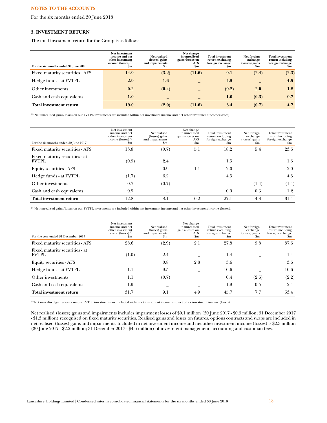For the six months ended 30 June 2018

## **3. INVESTMENT RETURN**

The total investment return for the Group is as follows:

| For the six months ended 30 June 2018 | Net investment<br>income and net<br>other investment<br>income $(losses)^{(1)}$<br>$\mathbf{Sm}$ | Net realised<br>(losses) gains<br>and impairments<br>$\mathbf{Sm}$ | Net change<br>in unrealised<br>gains/losses on<br>AFS<br>\$m | <b>Total investment</b><br>return excluding<br>foreign exchange<br>Sm | Net foreign<br>exchange<br>(losses) gains<br>Sm | <b>Total investment</b><br>return including<br>foreign exchange<br>Sm |
|---------------------------------------|--------------------------------------------------------------------------------------------------|--------------------------------------------------------------------|--------------------------------------------------------------|-----------------------------------------------------------------------|-------------------------------------------------|-----------------------------------------------------------------------|
| Fixed maturity securities - AFS       | 14.9                                                                                             | (3.2)                                                              | (11.6)                                                       | 0.1                                                                   | (2.4)                                           | (2.3)                                                                 |
| Hedge funds - at FVTPL                | 2.9                                                                                              | 1.6                                                                |                                                              | 4.5                                                                   |                                                 | 4.5                                                                   |
| Other investments                     | 0.2                                                                                              | (0.4)                                                              |                                                              | (0.2)                                                                 | 2.0                                             | 1.8                                                                   |
| Cash and cash equivalents             | 1.0                                                                                              |                                                                    |                                                              | 1.0                                                                   | (0.3)                                           | 0.7                                                                   |
| <b>Total investment return</b>        | <b>19.0</b>                                                                                      | (2.0)                                                              | (11.6)                                                       | 5.4                                                                   | (0.7)                                           | 4.7                                                                   |

(1) Net unrealised gains/losses on our FVTPL investments are included within net investment income and net other investment income(losses).

| For the six months ended 30 June 2017          | Net investment<br>income and net<br>other investment<br>income $(losses)^{(1)}$<br>\$m | Net realised<br>(losses) gains<br>and impairments<br>Sm | Net change<br>in unrealised<br>gains/losses on<br>AFS<br>\$m | Total investment<br>return excluding<br>foreign exchange<br>$_{\rm Sm}$ | Net foreign<br>exchange<br>(losses) gains<br>Sm. | Total investment<br>return including<br>foreign exchange<br>.Sm |
|------------------------------------------------|----------------------------------------------------------------------------------------|---------------------------------------------------------|--------------------------------------------------------------|-------------------------------------------------------------------------|--------------------------------------------------|-----------------------------------------------------------------|
| Fixed maturity securities - AFS                | 13.8                                                                                   | (0.7)                                                   | 5.1                                                          | 18.2                                                                    | 5.4                                              | 23.6                                                            |
| Fixed maturity securities - at<br><b>FVTPL</b> | (0.9)                                                                                  | 2.4                                                     |                                                              | 1.5                                                                     |                                                  | 1.5                                                             |
| <b>Equity securities - AFS</b>                 |                                                                                        | 0.9                                                     | 1.1                                                          | 2.0                                                                     |                                                  | 2.0                                                             |
| Hedge funds - at FVTPL                         | (1.7)                                                                                  | 6.2                                                     |                                                              | 4.5                                                                     |                                                  | 4.5                                                             |
| Other investments                              | 0.7                                                                                    | (0.7)                                                   |                                                              |                                                                         | (1.4)                                            | (1.4)                                                           |
| Cash and cash equivalents                      | 0.9                                                                                    |                                                         |                                                              | 0.9                                                                     | 0.3                                              | 1.2                                                             |
| Total investment return                        | 12.8                                                                                   | 8.1                                                     | 6.2                                                          | 27.1                                                                    | 4.3                                              | 31.4                                                            |

(1) Net unrealised gains/losses on our FVTPL investments are included within net investment income and net other investment income (losses).

| For the year ended 31 December 2017             | Net investment<br>income and net<br>other investment<br>income $(\text{losses})^{(1)}$<br>Sm | Net realised<br>(losses) gains<br>and impairments<br>\$m | Net change<br>in unrealised<br>gains/losses on<br>AFS<br>$_{\rm Sm}$ | Total investment<br>return excluding<br>foreign exchange<br>Sm | Net foreign<br>exchange<br>(losses) gains<br>$_{\rm Sm}$ | Total investment<br>return including<br>foreign exchange<br>.5m |
|-------------------------------------------------|----------------------------------------------------------------------------------------------|----------------------------------------------------------|----------------------------------------------------------------------|----------------------------------------------------------------|----------------------------------------------------------|-----------------------------------------------------------------|
| Fixed maturity securities - AFS                 | 28.6                                                                                         | (2.9)                                                    | 2.1                                                                  | 27.8                                                           | 9.8                                                      | 37.6                                                            |
| Fixed maturity securities - at<br><b>FVTPL.</b> | (1.0)                                                                                        | 2.4                                                      |                                                                      | 1.4                                                            |                                                          | 1.4                                                             |
| Equity securities - AFS                         |                                                                                              | 0.8                                                      | 2.8                                                                  | 3.6                                                            |                                                          | 3.6                                                             |
| Hedge funds - at FVTPL                          | 1.1                                                                                          | 9.5                                                      |                                                                      | 10.6                                                           |                                                          | 10.6                                                            |
| Other investments                               | 1.1                                                                                          | (0.7)                                                    |                                                                      | 0.4                                                            | (2.6)                                                    | (2.2)                                                           |
| Cash and cash equivalents                       | 1.9                                                                                          |                                                          |                                                                      | 1.9                                                            | 0.5                                                      | 2.4                                                             |
| Total investment return                         | 31.7                                                                                         | 9.1                                                      | 4.9                                                                  | 45.7                                                           | 7.7                                                      | 53.4                                                            |

(1) Net unrealised gains/losses on our FVTPL investments are included within net investment income and net other investment income (losses).

Net realised (losses) gains and impairments includes impairment losses of \$0.1 million (30 June 2017 - \$0.3 million; 31 December 2017 - \$1.3 million) recognised on fixed maturity securities. Realised gains and losses on futures, options contracts and swaps are included in net realised (losses) gains and impairments. Included in net investment income and net other investment income (losses) is \$2.3 million (30 June 2017 - \$2.2 million; 31 December 2017 - \$4.6 million) of investment management, accounting and custodian fees.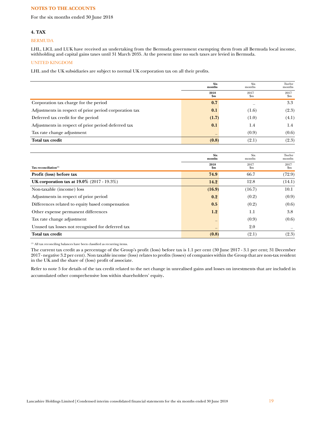For the six months ended 30 June 2018

# **4. TAX**

## BERMUDA

LHL, LICL and LUK have received an undertaking from the Bermuda government exempting them from all Bermuda local income, withholding and capital gains taxes until 31 March 2035. At the present time no such taxes are levied in Bermuda.

# UNITED KINGDOM

LHL and the UK subsidiaries are subject to normal UK corporation tax on all their profits.

|                                                        | <b>Six</b><br>months | Six<br>months       | Twelve<br>months       |
|--------------------------------------------------------|----------------------|---------------------|------------------------|
|                                                        | 2018<br>\$m          | 2017<br>$_{\rm Sm}$ | 2017<br>$\mathbf{S}$ m |
| Corporation tax charge for the period                  | 0.7                  |                     | 3.3                    |
| Adjustments in respect of prior period corporation tax | 0.1                  | (1.6)               | (2.3)                  |
| Deferred tax credit for the period                     | (1.7)                | (1.0)               | (4.1)                  |
| Adjustments in respect of prior period deferred tax    | 0.1                  | 1.4                 | 1.4                    |
| Tax rate change adjustment                             | $\qquad \qquad =$    | (0.9)               | (0.6)                  |
| Total tax credit                                       | (0.8)                | (2.1)               | (2.3)                  |

|                                                      | <b>Six</b><br>months     | Six<br>months | Twelve<br>months |
|------------------------------------------------------|--------------------------|---------------|------------------|
|                                                      | 2018                     | 2017          | 2017             |
| Tax reconciliation $(1)$                             | $\mathbf{Sm}$            | $\mathbf{Sm}$ | $\mathbf{S}$ m   |
| Profit (loss) before tax                             | 74.9                     | 66.7          | (72.9)           |
| <b>UK corporation tax at 19.0%</b> $(2017 - 19.3\%)$ | 14.2                     | 12.8          | (14.1)           |
| Non-taxable (income) loss                            | (16.9)                   | (16.7)        | 10.1             |
| Adjustments in respect of prior period               | 0.2                      | (0.2)         | (0.9)            |
| Differences related to equity based compensation     | 0.5                      | (0.2)         | (0.6)            |
| Other expense permanent differences                  | 1.2                      | 1.1           | 3.8              |
| Tax rate change adjustment                           | $\overline{\phantom{0}}$ | (0.9)         | (0.6)            |
| Unused tax losses not recognised for deferred tax    | $\overline{\phantom{0}}$ | 2.0           |                  |
| <b>Total tax credit</b>                              | (0.8)                    | (2.1)         | (2.3)            |

(1) All tax reconciling balances have been classified as recurring items.

The current tax credit as a percentage of the Group's profit (loss) before tax is 1.1 per cent (30 June 2017 - 3.1 per cent; 31 December 2017 - negative 3.2 per cent). Non taxable income (loss) relates to profits (losses) of companies within the Group that are non-tax resident in the UK and the share of (loss) profit of associate.

Refer to note 5 for details of the tax credit related to the net change in unrealised gains and losses on investments that are included in accumulated other comprehensive loss within shareholders' equity.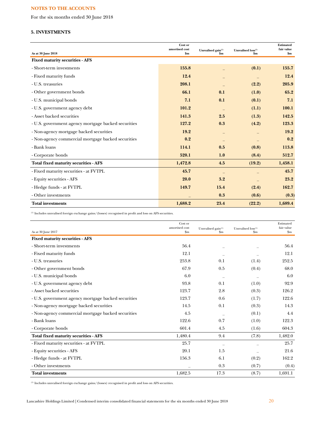For the six months ended 30 June 2018

# **5. INVESTMENTS**

| As at 30 June 2018                                  | Cost or<br>amortised cost<br>$\mathbf{Sm}$ | Unrealised gain $^{(1)}$<br>$\mathbf{Sm}$ | Unrealised $\text{loss}^{\scriptscriptstyle{(1)}}$<br>$\mathbf{Sm}$ | Estimated<br>fair value<br>\$m\$ |
|-----------------------------------------------------|--------------------------------------------|-------------------------------------------|---------------------------------------------------------------------|----------------------------------|
| <b>Fixed maturity securities - AFS</b>              |                                            |                                           |                                                                     |                                  |
| - Short-term investments                            | 155.8                                      |                                           | (0.1)                                                               | 155.7                            |
| - Fixed maturity funds                              | 12.4                                       |                                           |                                                                     | 12.4                             |
| - U.S. treasuries                                   | 208.1                                      |                                           | (2.2)                                                               | 205.9                            |
| - Other government bonds                            | 66.1                                       | 0.1                                       | (1.0)                                                               | 65.2                             |
| - U.S. municipal bonds                              | 7.1                                        | 0.1                                       | (0.1)                                                               | 7.1                              |
| - U.S. government agency debt                       | 101.2                                      |                                           | (1.1)                                                               | 100.1                            |
| - Asset backed securities                           | 141.3                                      | 2.5                                       | (1.3)                                                               | 142.5                            |
| - U.S. government agency mortgage backed securities | 127.2                                      | 0.3                                       | (4.2)                                                               | 123.3                            |
| - Non-agency mortgage backed securities             | 19.2                                       |                                           |                                                                     | 19.2                             |
| - Non-agency commercial mortgage backed securities  | 0.2                                        |                                           |                                                                     | 0.2                              |
| - Bank loans                                        | 114.1                                      | 0.5                                       | (0.8)                                                               | 113.8                            |
| - Corporate bonds                                   | 520.1                                      | 1.0                                       | (8.4)                                                               | 512.7                            |
| <b>Total fixed maturity securities - AFS</b>        | 1,472.8                                    | 4.5                                       | (19.2)                                                              | 1,458.1                          |
| - Fixed maturity securities - at FVTPL              | 45.7                                       |                                           |                                                                     | 45.7                             |
| - Equity securities - AFS                           | 20.0                                       | 3.2                                       |                                                                     | 23.2                             |
| - Hedge funds - at FVTPL                            | 149.7                                      | 15.4                                      | (2.4)                                                               | 162.7                            |
| - Other investments                                 |                                            | 0.3                                       | (0.6)                                                               | (0.3)                            |
| <b>Total investments</b>                            | 1,688.2                                    | 23.4                                      | (22.2)                                                              | 1,689.4                          |

(1) Includes unrealised foreign exchange gains/(losses) recognised in profit and loss on AFS securities.

| As at 30 June 2017                                  | Cost or<br>amortised cost<br>$\mathbf{Sm}$ | Unrealised gain <sup>(1)</sup><br>\$m | Unrealised loss <sup>(1)</sup><br>$\mathbf{Sm}$ | Estimated<br>fair value<br>$\mathbf{\$m}$ |
|-----------------------------------------------------|--------------------------------------------|---------------------------------------|-------------------------------------------------|-------------------------------------------|
| <b>Fixed maturity securities - AFS</b>              |                                            |                                       |                                                 |                                           |
| - Short-term investments                            | 56.4                                       |                                       |                                                 | 56.4                                      |
| - Fixed maturity funds                              | 12.1                                       |                                       |                                                 | 12.1                                      |
| - U.S. treasuries                                   | 253.8                                      | 0.1                                   | (1.4)                                           | 252.5                                     |
| - Other government bonds                            | 67.9                                       | 0.5                                   | (0.4)                                           | 68.0                                      |
| - U.S. municipal bonds                              | 6.0                                        |                                       |                                                 | 6.0                                       |
| - U.S. government agency debt                       | 93.8                                       | 0.1                                   | (1.0)                                           | 92.9                                      |
| - Asset backed securities                           | 123.7                                      | 2.8                                   | (0.3)                                           | 126.2                                     |
| - U.S. government agency mortgage backed securities | 123.7                                      | 0.6                                   | (1.7)                                           | 122.6                                     |
| - Non-agency mortgage backed securities             | 14.5                                       | 0.1                                   | (0.3)                                           | 14.3                                      |
| - Non-agency commercial mortgage backed securities  | 4.5                                        |                                       | (0.1)                                           | 4.4                                       |
| - Bank loans                                        | 122.6                                      | 0.7                                   | (1.0)                                           | 122.3                                     |
| - Corporate bonds                                   | 601.4                                      | 4.5                                   | (1.6)                                           | 604.3                                     |
| Total fixed maturity securities - AFS               | 1,480.4                                    | 9.4                                   | (7.8)                                           | 1,482.0                                   |
| - Fixed maturity securities - at FVTPL              | 25.7                                       |                                       |                                                 | 25.7                                      |
| - Equity securities - AFS                           | 20.1                                       | 1.5                                   |                                                 | 21.6                                      |
| - Hedge funds - at FVTPL                            | 156.3                                      | 6.1                                   | (0.2)                                           | 162.2                                     |
| - Other investments                                 |                                            | 0.3                                   | (0.7)                                           | (0.4)                                     |
| <b>Total investments</b>                            | 1,682.5                                    | 17.3                                  | (8.7)                                           | 1,691.1                                   |

(1) Includes unrealised foreign exchange gains/(losses) recognised in profit and loss on AFS securities.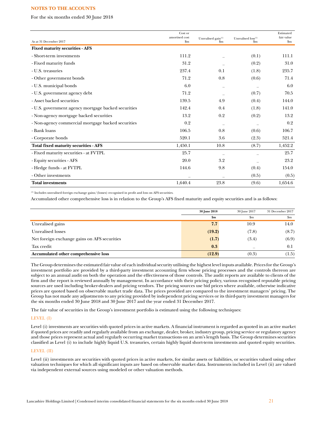For the six months ended 30 June 2018

|                                                     | Cost or<br>amortised cost | Unrealised gain <sup>(1)</sup> | Unrealised loss <sup>(1)</sup> | Estimated<br>fair value |
|-----------------------------------------------------|---------------------------|--------------------------------|--------------------------------|-------------------------|
| As at 31 December 2017                              | $\mathbf{Sm}$             | $\mathbf{Sm}$                  | $\mathbf{Sm}$                  | $\mathbf{Sm}$           |
| <b>Fixed maturity securities - AFS</b>              |                           |                                |                                |                         |
| - Short-term investments                            | 111.2                     |                                | (0.1)                          | 111.1                   |
| - Fixed maturity funds                              | 31.2                      |                                | (0.2)                          | 31.0                    |
| - U.S. treasuries                                   | 237.4                     | 0.1                            | (1.8)                          | 235.7                   |
| - Other government bonds                            | 71.2                      | 0.8                            | (0.6)                          | 71.4                    |
| - U.S. municipal bonds                              | 6.0                       |                                |                                | 6.0                     |
| - U.S. government agency debt                       | 71.2                      |                                | (0.7)                          | 70.5                    |
| - Asset backed securities                           | 139.5                     | 4.9                            | (0.4)                          | 144.0                   |
| - U.S. government agency mortgage backed securities | 142.4                     | 0.4                            | (1.8)                          | 141.0                   |
| - Non-agency mortgage backed securities             | 13.2                      | 0.2                            | (0.2)                          | 13.2                    |
| - Non-agency commercial mortgage backed securities  | 0.2                       |                                |                                | 0.2                     |
| - Bank loans                                        | 106.5                     | 0.8                            | (0.6)                          | 106.7                   |
| - Corporate bonds                                   | 520.1                     | 3.6                            | (2.3)                          | 521.4                   |
| Total fixed maturity securities - AFS               | 1,450.1                   | 10.8                           | (8.7)                          | 1,452.2                 |
| - Fixed maturity securities - at FVTPL              | 25.7                      |                                |                                | 25.7                    |
| - Equity securities - AFS                           | 20.0                      | 3.2                            |                                | 23.2                    |
| - Hedge funds - at FVTPL                            | 144.6                     | 9.8                            | (0.4)                          | 154.0                   |
| - Other investments                                 | $\overline{\phantom{0}}$  | $\overline{\phantom{0}}$       | (0.5)                          | (0.5)                   |
| <b>Total investments</b>                            | 1,640.4                   | 23.8                           | (9.6)                          | 1,654.6                 |

(1) Includes unrealised foreign exchange gains/(losses) recognised in profit and loss on AFS securities.

Accumulated other comprehensive loss is in relation to the Group's AFS fixed maturity and equity securities and is as follows:

|                                              | 30 June 2018  | 30 June 2017 | 31 December 2017 |
|----------------------------------------------|---------------|--------------|------------------|
|                                              | $\mathbf{Sm}$ | $_{\rm Sm}$  | $\mathbf{S}$ m   |
| Unrealised gains                             | 7.7           | 10.9         | 14.0             |
| Unrealised losses                            | (19.2)        | (7.8)        | (8.7)            |
| Net foreign exchange gains on AFS securities | (1.7)         | (3.4)        | (6.9)            |
| Tax credit                                   | 0.3           |              | 0.1              |
| Accumulated other comprehensive loss         | (12.9)        | (0.3)        | (1.5)            |

The Group determines the estimated fair value of each individual security utilising the highest level inputs available. Prices for the Group's investment portfolio are provided by a third-party investment accounting firm whose pricing processes and the controls thereon are subject to an annual audit on both the operation and the effectiveness of those controls. The audit reports are available to clients of the firm and the report is reviewed annually by management. In accordance with their pricing policy, various recognised reputable pricing sources are used including broker-dealers and pricing vendors. The pricing sources use bid prices where available, otherwise indicative prices are quoted based on observable market trade data. The prices provided are compared to the investment managers' pricing. The Group has not made any adjustments to any pricing provided by independent pricing services or its third-party investment managers for the six months ended 30 June 2018 and 30 June 2017 and the year ended 31 December 2017.

The fair value of securities in the Group's investment portfolio is estimated using the following techniques:

## LEVEL (I)

Level (i) investments are securities with quoted prices in active markets. A financial instrument is regarded as quoted in an active market if quoted prices are readily and regularly available from an exchange, dealer, broker, industry group, pricing service or regulatory agency and those prices represent actual and regularly occurring market transactions on an arm's length basis. The Group determines securities classified as Level (i) to include highly liquid U.S. treasuries, certain highly liquid short-term investments and quoted equity securities.

## LEVEL (II)

Level (ii) investments are securities with quoted prices in active markets, for similar assets or liabilities, or securities valued using other valuation techniques for which all significant inputs are based on observable market data. Instruments included in Level (ii) are valued via independent external sources using modeled or other valuation methods.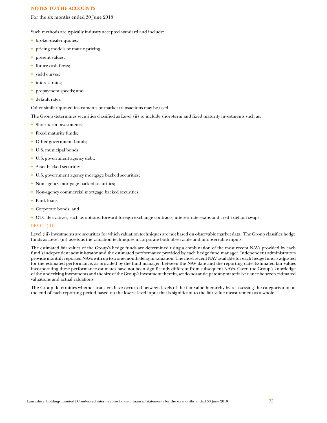For the six months ended 30 June 2018

Such methods are typically industry accepted standard and include:

- broker-dealer quotes;
- pricing models or matrix pricing;
- present values;
- future cash flows;
- yield curves;
- interest rates;
- prepayment speeds; and
- default rates.

Other similar quoted instruments or market transactions may be used.

The Group determines securities classified as Level (ii) to include short-term and fixed maturity investments such as:

- Short-term investments:
- Fixed maturity funds;
- Other government bonds;
- U.S. municipal bonds;
- U.S. government agency debt;
- Asset backed securities;
- U.S. government agency mortgage backed securities;
- Non-agency mortgage backed securities;
- Non-agency commercial mortgage backed securities;
- Bank loans;
- Corporate bonds; and
- OTC derivatives, such as options, forward foreign exchange contracts, interest rate swaps and credit default swaps.

## LEVEL (III)

Level (iii) investments are securities for which valuation techniques are not based on observable market data. The Group classifies hedge funds as Level (iii) assets as the valuation techniques incorporate both observable and unobservable inputs.

The estimated fair values of the Group's hedge funds are determined using a combination of the most recent NAVs provided by each fund's independent administrator and the estimated performance provided by each hedge fund manager. Independent administrators provide monthly reported NAVs with up to a one-month delay in valuation. The most recent NAV available for each hedge fund is adjusted for the estimated performance, as provided by the fund manager, between the NAV date and the reporting date. Estimated fair values incorporating these performance estimates have not been significantly different from subsequent NAVs. Given the Group's knowledge of the underlying investments and the size of the Group's investment therein, we do not anticipate any material variance between estimated valuations and actual valuations.

The Group determines whether transfers have occurred between levels of the fair value hierarchy by re-assessing the categorisation at the end of each reporting period based on the lowest level input that is significant to the fair value measurement as a whole.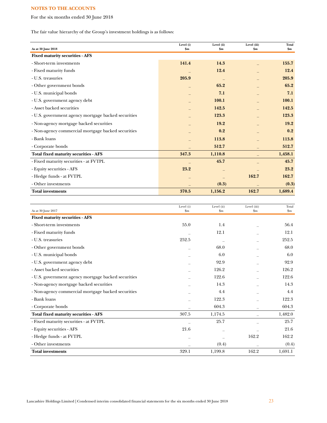For the six months ended 30 June 2018

The fair value hierarchy of the Group's investment holdings is as follows:

| Level (i) | Level (ii)                      | Level (iii)                                                    | Total<br>\$m\$                   |
|-----------|---------------------------------|----------------------------------------------------------------|----------------------------------|
|           |                                 |                                                                |                                  |
| 141.4     | 14.3                            |                                                                | 155.7                            |
|           | 12.4                            |                                                                | 12.4                             |
| 205.9     |                                 |                                                                | 205.9                            |
|           | 65.2                            |                                                                | 65.2                             |
|           | 7.1                             |                                                                | 7.1                              |
|           | 100.1                           |                                                                | 100.1                            |
|           | 142.5                           |                                                                | 142.5                            |
|           | 123.3                           |                                                                | 123.3                            |
|           | 19.2                            |                                                                | 19.2                             |
|           | 0.2                             |                                                                | 0.2                              |
|           |                                 |                                                                | 113.8                            |
|           |                                 |                                                                | 512.7                            |
|           |                                 |                                                                | 1,458.1                          |
|           |                                 |                                                                | 45.7                             |
|           |                                 |                                                                | 23.2                             |
|           |                                 |                                                                | 162.7                            |
|           |                                 |                                                                | (0.3)                            |
|           |                                 |                                                                | 1,689.4                          |
|           | \$m\$<br>347.3<br>23.2<br>370.5 | \$m\$<br>113.8<br>512.7<br>1,110.8<br>45.7<br>(0.3)<br>1,156.2 | $\mathbf{\$m}$<br>162.7<br>162.7 |

| As at 30 June 2017                                  | Level (i)<br>$\mathbf{S}_{\mathbf{m}}$ | Level (ii)<br>$\mathbf{Sm}$ | Level (iii)<br>$\mathop{\mathrm{Sm}}$ | Total<br>$\mathbf{S}$ m |
|-----------------------------------------------------|----------------------------------------|-----------------------------|---------------------------------------|-------------------------|
| <b>Fixed maturity securities - AFS</b>              |                                        |                             |                                       |                         |
| - Short-term investments                            | 55.0                                   | 1.4                         |                                       | 56.4                    |
| - Fixed maturity funds                              |                                        | 12.1                        |                                       | 12.1                    |
| - U.S. treasuries                                   | 252.5                                  |                             |                                       | 252.5                   |
| - Other government bonds                            |                                        | 68.0                        |                                       | 68.0                    |
| - U.S. municipal bonds                              |                                        | 6.0                         |                                       | 6.0                     |
| - U.S. government agency debt                       |                                        | 92.9                        |                                       | 92.9                    |
| - Asset backed securities                           |                                        | 126.2                       |                                       | 126.2                   |
| - U.S. government agency mortgage backed securities |                                        | 122.6                       |                                       | 122.6                   |
| - Non-agency mortgage backed securities             |                                        | 14.3                        |                                       | 14.3                    |
| - Non-agency commercial mortgage backed securities  |                                        | 4.4                         |                                       | 4.4                     |
| - Bank loans                                        |                                        | 122.3                       |                                       | 122.3                   |
| - Corporate bonds                                   |                                        | 604.3                       |                                       | 604.3                   |
| Total fixed maturity securities - AFS               | 307.5                                  | 1,174.5                     |                                       | 1,482.0                 |
| - Fixed maturity securities - at FVTPL              |                                        | 25.7                        |                                       | 25.7                    |
| - Equity securities - AFS                           | 21.6                                   |                             |                                       | 21.6                    |
| - Hedge funds - at FVTPL                            |                                        |                             | 162.2                                 | 162.2                   |
| - Other investments                                 |                                        | (0.4)                       |                                       | (0.4)                   |
| <b>Total investments</b>                            | 329.1                                  | 1,199.8                     | 162.2                                 | 1,691.1                 |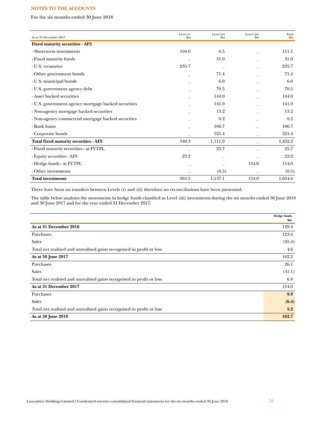For the six months ended 30 June 2018

| As at 31 December 2017                              | Level (i)<br>\$m | Level (ii)<br>\$m\$ | Level (iii)<br>\$m\$ | Total<br>$\mathbf{S}$ m |
|-----------------------------------------------------|------------------|---------------------|----------------------|-------------------------|
| <b>Fixed maturity securities - AFS</b>              |                  |                     |                      |                         |
| - Short-term investments                            | 104.6            | 6.5                 |                      | 111.1                   |
| - Fixed maturity funds                              |                  | 31.0                |                      | 31.0                    |
| - U.S. treasuries                                   | 235.7            |                     |                      | 235.7                   |
| - Other government bonds                            |                  | 71.4                |                      | 71.4                    |
| - U.S. municipal bonds                              |                  | 6.0                 |                      | 6.0                     |
| - U.S. government agency debt                       |                  | 70.5                |                      | 70.5                    |
| - Asset backed securities                           |                  | 144.0               |                      | 144.0                   |
| - U.S. government agency mortgage backed securities |                  | 141.0               |                      | 141.0                   |
| - Non-agency mortgage backed securities             |                  | 13.2                |                      | 13.2                    |
| - Non-agency commercial mortgage backed securities  |                  | 0.2                 |                      | 0.2                     |
| - Bank loans                                        |                  | 106.7               |                      | 106.7                   |
| - Corporate bonds                                   |                  | 521.4               |                      | 521.4                   |
| Total fixed maturity securities - AFS               | 340.3            | 1,111.9             |                      | 1,452.2                 |
| - Fixed maturity securities - at FVTPL              |                  | 25.7                |                      | 25.7                    |
| - Equity securities - AFS                           | 23.2             |                     |                      | 23.2                    |
| - Hedge funds - at FVTPL                            |                  |                     | 154.0                | 154.0                   |
| - Other investments                                 |                  | (0.5)               |                      | (0.5)                   |
| <b>Total investments</b>                            | 363.5            | 1,137.1             | 154.0                | 1,654.6                 |

There have been no transfers between Levels (i) and (ii) therefore no reconciliations have been presented.

The table below analyses the movements in hedge funds classified as Level (iii) investments during the six months ended 30 June 2018 and 30 June 2017 and for the year ended 31 December 2017:

|                                                                      | <b>Hedge funds</b><br>\$m |
|----------------------------------------------------------------------|---------------------------|
| As at 31 December 2016                                               | 129.4                     |
| Purchases                                                            | 123.6                     |
| <b>Sales</b>                                                         | (95.4)                    |
| Total net realised and unrealised gains recognised in profit or loss | 4.6                       |
| As at 30 June 2017                                                   | 162.2                     |
| Purchases                                                            | 26.1                      |
| <b>Sales</b>                                                         | (41.1)                    |
| Total net realised and unrealised gains recognised in profit or loss | 6.8                       |
| As at 31 December 2017                                               | 154.0                     |
| Purchases                                                            | 9.9                       |
| Sales                                                                | (6.4)                     |
| Total net realised and unrealised gains recognised in profit or loss | 5.2                       |
| As at 30 June 2018                                                   | 162.7                     |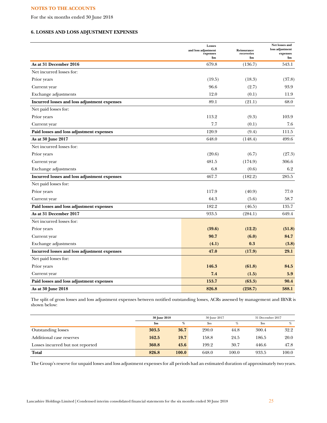For the six months ended 30 June 2018

# **6. LOSSES AND LOSS ADJUSTMENT EXPENSES**

|                                              | Losses<br>and loss adjustment<br>expenses<br>\$m | Reinsurance<br>recoveries<br>\$m | Net losses and<br>loss adjustment<br>expenses<br>\$m |
|----------------------------------------------|--------------------------------------------------|----------------------------------|------------------------------------------------------|
| As at 31 December 2016                       | 679.8                                            | (136.7)                          | 543.1                                                |
| Net incurred losses for:                     |                                                  |                                  |                                                      |
| Prior years                                  | (19.5)                                           | (18.3)                           | (37.8)                                               |
| Current year                                 | 96.6                                             | (2.7)                            | 93.9                                                 |
| Exchange adjustments                         | 12.0                                             | (0.1)                            | 11.9                                                 |
| Incurred losses and loss adjustment expenses | 89.1                                             | (21.1)                           | 68.0                                                 |
| Net paid losses for:                         |                                                  |                                  |                                                      |
| Prior years                                  | 113.2                                            | (9.3)                            | 103.9                                                |
| Current year                                 | 7.7                                              | (0.1)                            | 7.6                                                  |
| Paid losses and loss adjustment expenses     | 120.9                                            | (9.4)                            | 111.5                                                |
| As at 30 June 2017                           | 648.0                                            | (148.4)                          | 499.6                                                |
| Net incurred losses for:                     |                                                  |                                  |                                                      |
| Prior years                                  | (20.6)                                           | (6.7)                            | (27.3)                                               |
| Current year                                 | 481.5                                            | (174.9)                          | 306.6                                                |
| Exchange adjustments                         | 6.8                                              | (0.6)                            | 6.2                                                  |
| Incurred losses and loss adjustment expenses | 467.7                                            | (182.2)                          | 285.5                                                |
| Net paid losses for:                         |                                                  |                                  |                                                      |
| Prior years                                  | 117.9                                            | (40.9)                           | 77.0                                                 |
| Current year                                 | 64.3                                             | (5.6)                            | 58.7                                                 |
| Paid losses and loss adjustment expenses     | 182.2                                            | (46.5)                           | 135.7                                                |
| As at 31 December 2017                       | 933.5                                            | (284.1)                          | 649.4                                                |
| Net incurred losses for:                     |                                                  |                                  |                                                      |
| Prior years                                  | (39.6)                                           | (12.2)                           | (51.8)                                               |
| Current year                                 | 90.7                                             | (6.0)                            | 84.7                                                 |
| Exchange adjustments                         | (4.1)                                            | 0.3                              | (3.8)                                                |
| Incurred losses and loss adjustment expenses | 47.0                                             | (17.9)                           | 29.1                                                 |
| Net paid losses for:                         |                                                  |                                  |                                                      |
| Prior years                                  | 146.3                                            | (61.8)                           | 84.5                                                 |
| Current year                                 | 7.4                                              | (1.5)                            | 5.9                                                  |
| Paid losses and loss adjustment expenses     | 153.7                                            | (63.3)                           | 90.4                                                 |
| As at 30 June 2018                           | 826.8                                            | (238.7)                          | 588.1                                                |

The split of gross losses and loss adjustment expenses between notified outstanding losses, ACRs assessed by management and IBNR is shown below:

|                                  | 30 June 2018   |       | 30 June 2017              |       | 31 December 2017 |       |
|----------------------------------|----------------|-------|---------------------------|-------|------------------|-------|
|                                  | $\mathbf{\$m}$ | %     | $\mathbf{S}_{\mathbf{m}}$ | %     | $\mathbf{Sm}$    | %     |
| <b>Outstanding losses</b>        | 303.5          | 36.7  | 290.0                     | 44.8  | 300.4            | 32.2  |
| Additional case reserves         | 162.5          | 19.7  | 158.8                     | 24.5  | 186.5            | 20.0  |
| Losses incurred but not reported | 360.8          | 43.6  | 199.2                     | 30.7  | 446.6            | 47.8  |
| <b>Total</b>                     | 826.8          | 100.0 | 648.0                     | 100.0 | 933.5            | 100.0 |

The Group's reserve for unpaid losses and loss adjustment expenses for all periods had an estimated duration of approximately two years.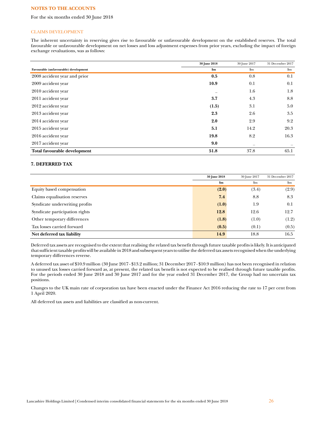For the six months ended 30 June 2018

## CLAIMS DEVELOPMENT

The inherent uncertainty in reserving gives rise to favourable or unfavourable development on the established reserves. The total favourable or unfavourable development on net losses and loss adjustment expenses from prior years, excluding the impact of foreign exchange revaluations, was as follows:

|                                       | 30 June 2018 | 30 June 2017 | 31 December 2017 |
|---------------------------------------|--------------|--------------|------------------|
| Favourable (unfavourable) development | \$m\$        | \$m          | $\mathbf{\$m}$   |
| 2008 accident year and prior          | 0.5          | 0.8          | 0.1              |
| 2009 accident year                    | 10.9         | 0.1          | 0.1              |
| 2010 accident year                    |              | 1.6          | 1.8              |
| 2011 accident year                    | 3.7          | 4.3          | 8.8              |
| 2012 accident year                    | (1.5)        | 3.1          | 5.0              |
| 2013 accident year                    | 2.3          | 2.6          | 3.5              |
| 2014 accident year                    | 2.0          | 2.9          | 9.2              |
| 2015 accident year                    | 5.1          | 14.2         | 20.3             |
| 2016 accident year                    | 19.8         | 8.2          | 16.3             |
| 2017 accident year                    | 9.0          |              |                  |
| Total favourable development          | 51.8         | 37.8         | 65.1             |

## **7. DEFERRED TAX**

|                                | 30 June 2018 | 30 June 2017  | 31 December 2017 |
|--------------------------------|--------------|---------------|------------------|
|                                | \$m\$        | $\mathbf{Sm}$ | $\mathbf{S}$ m   |
| Equity based compensation      | (2.0)        | (3.4)         | (2.9)            |
| Claims equalisation reserves   | 7.4          | 8.8           | 8.3              |
| Syndicate underwriting profits | (1.0)        | 1.9           | 0.1              |
| Syndicate participation rights | 12.8         | 12.6          | 12.7             |
| Other temporary differences    | (1.8)        | (1.0)         | (1.2)            |
| Tax losses carried forward     | (0.5)        | (0.1)         | (0.5)            |
| Net deferred tax liability     | 14.9         | 18.8          | 16.5             |

Deferred tax assets are recognised to the extent that realising the related tax benefit through future taxable profits is likely. It is anticipated that sufficient taxable profits will be available in 2018 and subsequent years to utilise the deferred tax assets recognised when the underlying temporary differences reverse.

A deferred tax asset of \$10.9 million (30 June 2017 - \$13.2 million; 31 December 2017 - \$10.9 million) has not been recognised in relation to unused tax losses carried forward as, at present, the related tax benefit is not expected to be realised through future taxable profits. For the periods ended 30 June 2018 and 30 June 2017 and for the year ended 31 December 2017, the Group had no uncertain tax positions.

Changes to the UK main rate of corporation tax have been enacted under the Finance Act 2016 reducing the rate to 17 per cent from 1 April 2020.

All deferred tax assets and liabilities are classified as non-current.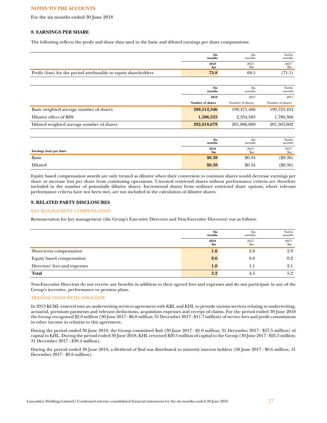For the six months ended 30 June 2018

## **8. EARNINGS PER SHARE**

The following reflects the profit and share data used in the basic and diluted earnings per share computations:

|                                                                  | <b>Six</b><br>months  | Six<br>months         | Twelve<br>months       |
|------------------------------------------------------------------|-----------------------|-----------------------|------------------------|
|                                                                  | 2018<br>$\mathbf{Sm}$ | 2017<br>$\mathbf{Sm}$ | 2017<br>$\mathbf{S}$ m |
| Profit (loss) for the period attributable to equity shareholders | 75.8                  | 68.5                  | (71.1)                 |
|                                                                  |                       |                       |                        |
|                                                                  | <b>Six</b><br>months  | Six<br>months         | Twelve<br>months       |
|                                                                  | 2018                  | 2017                  | 2017                   |
|                                                                  | Number of shares      | Number of shares      | Number of shares       |
| Basic weighted average number of shares                          | 200,512,346           | 199,471,486           | 199,723,434            |
| Dilutive effect of RSS                                           | 1,506,333             | 2,334,583             | 1,780,368              |
| Diluted weighted average number of shares                        | 202,018,679           | 201,806,069           | 201,503,802            |
|                                                                  |                       |                       |                        |
|                                                                  | <b>Six</b><br>months  | Six<br>months         | Twelve<br>months       |

|                           | пюнив      | пюнчіз              | пюнив               |
|---------------------------|------------|---------------------|---------------------|
| Earnings (loss) per share | 2018<br>Sm | 2017<br>$_{\rm sm}$ | 2017<br>$_{\rm sm}$ |
| Basic                     | \$0.38     | \$0.34              | $(\$0.36)$          |
| Diluted                   | \$0.38     | \$0.34              | $(\$0.36)$          |

Equity based compensation awards are only treated as dilutive when their conversion to common shares would decrease earnings per share or increase loss per share from continuing operations. Unvested restricted shares without performance criteria are therefore included in the number of potentially dilutive shares. Incremental shares from ordinary restricted share options, where relevant performance criteria have not been met, are not included in the calculation of dilutive shares.

# **9. RELATED PARTY DISCLOSURES**

## KEY MANAGEMENT COMPENSATION

Remuneration for key management (the Group's Executive Directors and Non-Executive Directors) was as follows:

|                              | <b>Six</b><br>months | Six<br>months | Twelve<br>months  |
|------------------------------|----------------------|---------------|-------------------|
|                              | 2018<br>\$m          | 2017<br>\$m   | 2017<br>$\rm{Sm}$ |
| Short-term compensation      | 1.6                  | 2.6           | 2.9               |
| Equity based compensation    | 0.6                  | 0.8           | $0.2\,$           |
| Directors' fees and expenses | 1.0                  | 1.1           | 2.1               |
| <b>Total</b>                 | 3.2                  | 4.5           | 5.2               |

Non-Executive Directors do not receive any benefits in addition to their agreed fees and expenses and do not participate in any of the Group's incentive, performance or pension plans.

## TRANSACTIONS WITH ASSOCIATE

In 2013 KCML entered into an underwriting services agreement with KRL and KHL to provide various services relating to underwriting, actuarial, premium payments and relevant deductions, acquisition expenses and receipt of claims. For the period ended 30 June 2018 the Group recognised \$2.0 million (30 June 2017 - \$6.8 million; 31 December 2017 - \$11.7 million) of service fees and profit commissions in other income in relation to this agreement.

During the period ended 30 June 2018, the Group committed \$nil (30 June 2017 - \$1.0 million; 31 December 2017 - \$57.5 million) of capital to KHL. During the period ended 30 June 2018, KHL returned \$20.5 million of capital to the Group (30 June 2017 - \$25.5 million; 31 December 2017 - \$38.4 million).

During the period ended 30 June 2018, a dividend of \$nil was distributed to minority interest holders (30 June 2017 - \$0.6 million, 31 December 2017 - \$0.6 million).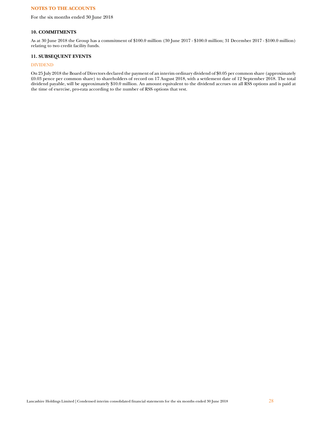For the six months ended 30 June 2018

## **10. COMMITMENTS**

As at 30 June 2018 the Group has a commitment of \$100.0 million (30 June 2017 - \$100.0 million; 31 December 2017 - \$100.0 million) relating to two credit facility funds.

# **11. SUBSEQUENT EVENTS**

# DIVIDEND

On 25 July 2018 the Board of Directors declared the payment of an interim ordinary dividend of \$0.05 per common share (approximately £0.03 pence per common share) to shareholders of record on 17 August 2018, with a settlement date of 12 September 2018. The total dividend payable, will be approximately \$10.0 million. An amount equivalent to the dividend accrues on all RSS options and is paid at the time of exercise, pro-rata according to the number of RSS options that vest.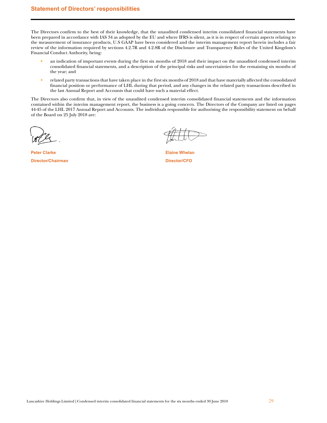# <span id="page-28-0"></span>**Statement of Directors' responsibilities**

The Directors confirm to the best of their knowledge, that the unaudited condensed interim consolidated financial statements have been prepared in accordance with IAS 34 as adopted by the EU and where IFRS is silent, as it is in respect of certain aspects relating to the measurement of insurance products, U.S GAAP have been considered and the interim management report herein includes a fair review of the information required by sections 4.2.7R and 4.2.8R of the Disclosure and Transparency Rules of the United Kingdom's Financial Conduct Authority, being:

- an indication of important events during the first six months of 2018 and their impact on the unaudited condensed interim consolidated financial statements, and a description of the principal risks and uncertainties for the remaining six months of the year; and
- related party transactions that have taken place in the first six months of 2018 and that have materially affected the consolidated  $\bullet$ financial position or performance of LHL during that period, and any changes in the related party transactions described in the last Annual Report and Accounts that could have such a material effect.

The Directors also confirm that, in view of the unaudited condensed interim consolidated financial statements and the information contained within the interim management report, the business is a going concern. The Directors of the Company are listed on pages 44-45 of the LHL 2017 Annual Report and Accounts. The individuals responsible for authorising the responsibility statement on behalf of the Board on 25 July 2018 are:

**Peter Clarke Director/Chairman** 

**Elaine Whelan Director/CFO**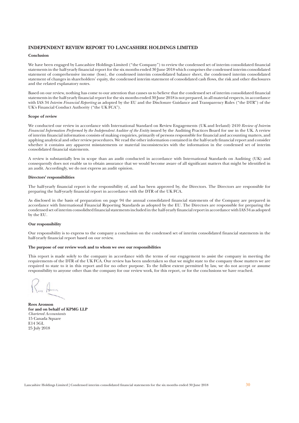# <span id="page-29-0"></span>**INDEPENDENT REVIEW REPORT TO LANCASHIRE HOLDINGS LIMITED**

### Conclusion

We have been engaged by Lancashire Holdings Limited ("the Company") to review the condensed set of interim consolidated financial statements in the half-yearly financial report for the six months ended 30 June 2018 which comprises the condensed interim consolidated statement of comprehensive income (loss), the condensed interim consolidated balance sheet, the condensed interim consolidated statement of changes in shareholders' equity, the condensed interim statement of consolidated cash flows, the risk and other disclosures and the related explanatory notes.

Based on our review, nothing has come to our attention that causes us to believe that the condensed set of interim consolidated financial statements in the half-yearly financial report for the six months ended 30 June 2018 is not prepared, in all material respects, in accordance with IAS 34 Interim Financial Reporting as adopted by the EU and the Disclosure Guidance and Transparency Rules ("the DTR") of the UK's Financial Conduct Authority ("the UK FCA").

#### Scope of review

We conducted our review in accordance with International Standard on Review Engagements (UK and Ireland) 2410 Review of Interim Financial Information Performed by the Independent Auditor of the Entity issued by the Auditing Practices Board for use in the UK. A review of interim financial information consists of making enquiries, primarily of persons responsible for financial and accounting matters, and applying analytical and other review procedures. We read the other information contained in the half-yearly financial report and consider whether it contains any apparent misstatements or material inconsistencies with the information in the condensed set of interim consolidated financial statements.

A review is substantially less in scope than an audit conducted in accordance with International Standards on Auditing (UK) and consequently does not enable us to obtain assurance that we would become aware of all significant matters that might be identified in an audit. Accordingly, we do not express an audit opinion.

## Directors' responsibilities

The half-yearly financial report is the responsibility of, and has been approved by, the Directors. The Directors are responsible for preparing the half-yearly financial report in accordance with the DTR of the UK FCA.

As disclosed in the basis of preparation on page 94 the annual consolidated financial statements of the Company are prepared in accordance with International Financial Reporting Standards as adopted by the EU. The Directors are responsible for preparing the condensed set of interim consolidted financial statements included in the half-yearly financial report in accordance with IAS 34 as adopted by the EU.

## Our responsibility

Our responsibility is to express to the company a conclusion on the condensed set of interim consolidated financial statements in the half-yearly financial report based on our review.

#### The purpose of our review work and to whom we owe our responsibilities

This report is made solely to the company in accordance with the terms of our engagement to assist the company in meeting the requirements of the DTR of the UK FCA. Our review has been undertaken so that we might state to the company those matters we are required to state to it in this report and for no other purpose. To the fullest extent permitted by law, we do not accept or assume responsibility to anyone other than the company for our review work, for this report, or for the conclusions we have reached.

**Rees Aronson** for and on behalf of KPMG LLP Chartered Accountants 15 Canada Square E14 5GL 25 July 2018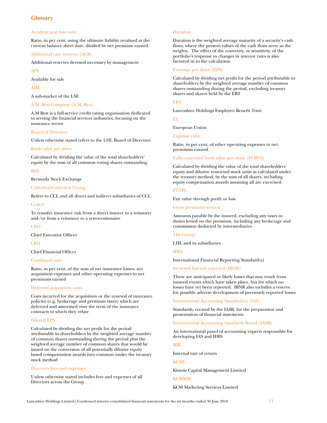# <span id="page-30-0"></span>**Glossary**

## Accident year loss ratio

Ratio, in per cent, using the ultimate liability revalued at the current balance sheet date, divided by net premium earned

Additional case reserves (ACR)

Additional reserves deemed necessary by management

AFS

Available for sale

AIM

A sub-market of the LSE

# A.M. Best Company (A.M. Best)

A.M Best is a full-service credit rating organisation dedicated to serving the financial services industries, focusing on the insurance sector

## Board of Directors

Unless otherwise stated refers to the LHL Board of Directors

## Book value per share

Calculated by dividing the value of the total shareholders' equity by the sum of all common voting shares outstanding

## **BSX**

Bermuda Stock Exchange

## Cathedral;Cathedral Group

Refers to CCL and all direct and indirect subsidiaries of CCL

Ceded

To transfer insurance risk from a direct insurer to a reinsurer and/or from a reinsurer to a retrocessionaire

**CEO** 

Chief Executive Officer

**CFO** 

Chief Financial Officer

## Combined ratio

Ratio, in per cent, of the sum of net insurance losses, net acquisition expenses and other operating expenses to net premiums earned

## Deferred acquisition costs

Costs incurred for the acquisition or the renewal of insurance policies (e.g. brokerage and premium taxes) which are deferred and amortised over the term of the insurance contracts to which they relate

## Diluted EPS

Calculated by dividing the net profit for the period attributable to shareholders by the weighted average number of common shares outstanding during the period plus the weighted average number of common shares that would be issued on the conversion of all potentially dilutive equity based compensation awards into common under the treasury stock method

## Directors fees and expenses

Unless otherwise stated includes fees and expenses of all Directors across the Group

## **Duration**

Duration is the weighted average maturity of a security's cash flows, where the present values of the cash flows serve as the weights. The effect of the convexity, or sensitivity, of the portfolio's response to changes in interest rates is also factored in to the calculation

## Earnings per share (EPS)

Calculated by dividing net profit for the period attributable to shareholders by the weighted average number of common shares outstanding during the period, excluding treasury shares and shares held by the EBT

## **EBT**

Lancashire Holdings Employee Benefit Trust

**EU** 

European Union

## Expense ratio

Ratio, in per cent, of other operating expenses to net premiums earned

## Fully converted book value per share (FCBVS)

Calculated by dividing the value of the total shareholders' equity and dilutive restricted stock units as calculated under the treasury method, by the sum of all shares, including equity compensation awards assuming all are exercised

## FVTPL

Fair value through profit or loss

Gross premiums written

Amounts payable by the insured, excluding any taxes or duties levied on the premium, including any brokerage and commission deducted by intermediaries

## The Group

LHL and its subsidiaries

## IFRS

International Financial Reporting Standard(s)

Incurred but not reported (IBNR)

These are anticipated or likely losses that may result from insured events which have taken place, but for which no losses have yet been reported. IBNR also includes a reserve for possible adverse development of previously reported losses

International Accounting Standard(s) (IAS)

[Standards,](http://www.businessdictionary.com/definition/standards.html) created by the IASB, for the [preparation](http://www.businessdictionary.com/definition/preparation.html) and [presentation](http://www.businessdictionary.com/definition/presentation.html) of [financial statements](http://www.businessdictionary.com/definition/financial-statement.html)

[International Accounting Standards Board \(IASB\)](http://www.businessdictionary.com/definition/International-Accounting-Standards-Committee-IASC.html)

An international panel of accounting experts responsible for developing IAS and IFRS

## IRR

Internal rate of return

## **KCML**

Kinesis Capital Management Limited

**KCMMSL** 

KCM Marketing Services Limited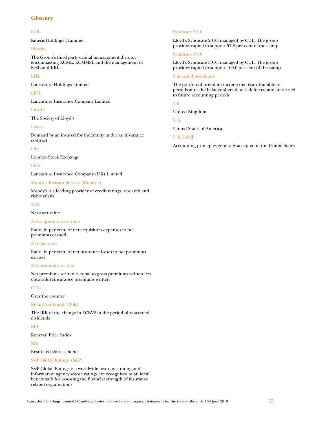# **Glossary**

## KHL

Kinesis Holdings I Limited

## Kinesis

The Group's third party capital management division encompassing KCML, KCMMSL and the management of KHL and KRL

## LHL

Lancashire Holdings Limited

## LICL

Lancashire Insurance Company Limited

## Lloyd's

The Society of Lloyd's

## Losses

Demand by an insured for indemnity under an insurance contract

## LSE

London Stock Exchange

# LUK

Lancashire Insurance Company (UK) Limited

## Moody's Investor Service (Moody's)

Moody's is a leading provider of credit ratings, research and risk analysis

## NAV

Net asset value

## Net acquisition cost ratio

Ratio, in per cent, of net acquisition expenses to net premiums earned

## Net loss ratio

Ratio, in per cent, of net insurance losses to net premiums earned

## Net premiums written

Net premiums written is equal to gross premiums written less outwards reinsurance premiums written

## **OTC**

Over the counter

## Return on Equity (RoE)

The IRR of the change in FCBVS in the period plus accrued dividends

# RPI

Renewal Price Index

# RSS

Restricted share scheme

## S&P Global Ratings (S&P)

S&P Global Ratings is a worldwide insurance rating and information agency whose ratings are recognised as an ideal benchmark for assessing the financial strength of insurance related organisations

## Syndicate 2010

Lloyd's Syndicate 2010, managed by CUL. The group provides capital to support 57.8 per cent of the stamp

## Syndicate 3010

Lloyd's Syndicate 3010, managed by CUL. The group provides capital to support 100.0 per cent of the stamp

## Unearned premiums

The portion of premium income that is attributable to periods after the balance sheet date is deferred and amortised to future accounting periods

## UK

United Kingdom

U.S.

United States of America

## U.S. GAAP

Accounting principles generally accepted in the United States